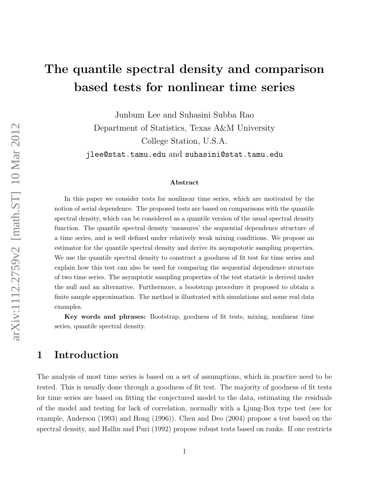# The quantile spectral density and comparison based tests for nonlinear time series

Junbum Lee and Suhasini Subba Rao Department of Statistics, Texas A&M University College Station, U.S.A. jlee@stat.tamu.edu and suhasini@stat.tamu.edu

#### Abstract

In this paper we consider tests for nonlinear time series, which are motivated by the notion of serial dependence. The proposed tests are based on comparisons with the quantile spectral density, which can be considered as a quantile version of the usual spectral density function. The quantile spectral density 'measures' the sequential dependence structure of a time series, and is well defined under relatively weak mixing conditions. We propose an estimator for the quantile spectral density and derive its asympototic sampling properties. We use the quantile spectral density to construct a goodness of fit test for time series and explain how this test can also be used for comparing the sequential dependence structure of two time series. The asymptotic sampling properties of the test statistic is derived under the null and an alternative. Furthermore, a bootstrap procedure it proposed to obtain a finite sample approximation. The method is illustrated with simulations and some real data examples.

Key words and phrases: Bootstrap, goodness of fit tests, mixing, nonlinear time series, quantile spectral density.

### 1 Introduction

The analysis of most time series is based on a set of assumptions, which in practice need to be tested. This is usually done through a goodness of fit test. The majority of goodness of fit tests for time series are based on fitting the conjectured model to the data, estimating the residuals of the model and testing for lack of correlation, normally with a Ljung-Box type test (see for example, Anderson (1993) and Hong (1996)). Chen and Deo (2004) propose a test based on the spectral density, and Hallin and Puri (1992) propose robust tests based on ranks. If one restricts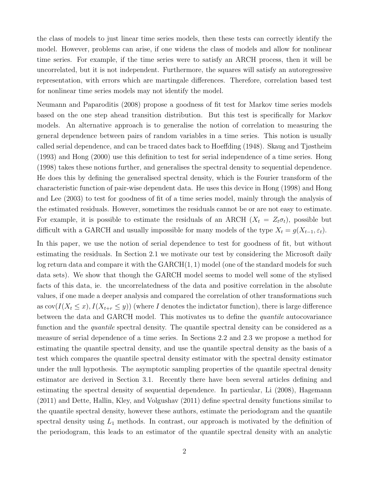the class of models to just linear time series models, then these tests can correctly identify the model. However, problems can arise, if one widens the class of models and allow for nonlinear time series. For example, if the time series were to satisfy an ARCH process, then it will be uncorrelated, but it is not independent. Furthermore, the squares will satisfy an autoregressive representation, with errors which are martingale differences. Therefore, correlation based test for nonlinear time series models may not identify the model.

Neumann and Paparoditis (2008) propose a goodness of fit test for Markov time series models based on the one step ahead transition distribution. But this test is specifically for Markov models. An alternative approach is to generalise the notion of correlation to measuring the general dependence between pairs of random variables in a time series. This notion is usually called serial dependence, and can be traced dates back to Hoeffding (1948). Skaug and Tjøstheim (1993) and Hong (2000) use this definition to test for serial independence of a time series. Hong (1998) takes these notions further, and generalises the spectral density to sequential dependence. He does this by defining the generalised spectral density, which is the Fourier transform of the characteristic function of pair-wise dependent data. He uses this device in Hong (1998) and Hong and Lee (2003) to test for goodness of fit of a time series model, mainly through the analysis of the estimated residuals. However, sometimes the residuals cannot be or are not easy to estimate. For example, it is possible to estimate the residuals of an ARCH  $(X_t = Z_t \sigma_t)$ , possible but difficult with a GARCH and usually impossible for many models of the type  $X_t = g(X_{t-1}, \varepsilon_t)$ .

In this paper, we use the notion of serial dependence to test for goodness of fit, but without estimating the residuals. In Section 2.1 we motivate our test by considering the Microsoft daily log return data and compare it with the  $GARCH(1, 1)$  model (one of the standard models for such data sets). We show that though the GARCH model seems to model well some of the stylised facts of this data, ie. the uncorrelatedness of the data and positive correlation in the absolute values, if one made a deeper analysis and compared the correlation of other transformations such as  $cov(I(X_t \leq x), I(X_{t+r} \leq y))$  (where I denotes the indictator function), there is large difference between the data and GARCH model. This motivates us to define the *quantile* autocovariance function and the *quantile* spectral density. The quantile spectral density can be considered as a measure of serial dependence of a time series. In Sections 2.2 and 2.3 we propose a method for estimating the quantile spectral density, and use the quantile spectral density as the basis of a test which compares the quantile spectral density estimator with the spectral density estimator under the null hypothesis. The asymptotic sampling properties of the quantile spectral density estimator are derived in Section 3.1. Recently there have been several articles defining and estimating the spectral density of sequential dependence. In particular, Li (2008), Hagemann (2011) and Dette, Hallin, Kley, and Volgushav (2011) define spectral density functions similar to the quantile spectral density, however these authors, estimate the periodogram and the quantile spectral density using  $L_1$  methods. In contrast, our approach is motivated by the definition of the periodogram, this leads to an estimator of the quantile spectral density with an analytic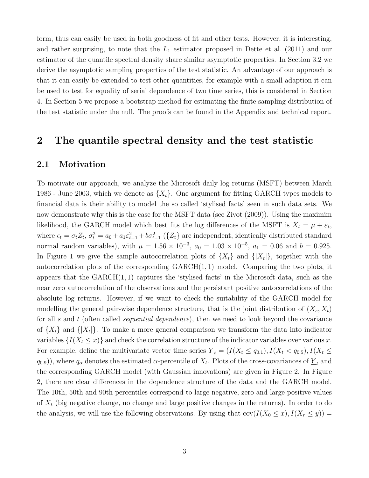form, thus can easily be used in both goodness of fit and other tests. However, it is interesting, and rather surprising, to note that the  $L_1$  estimator proposed in Dette et al. (2011) and our estimator of the quantile spectral density share similar asymptotic properties. In Section 3.2 we derive the asymptotic sampling properties of the test statistic. An advantage of our approach is that it can easily be extended to test other quantities, for example with a small adaption it can be used to test for equality of serial dependence of two time series, this is considered in Section 4. In Section 5 we propose a bootstrap method for estimating the finite sampling distribution of the test statistic under the null. The proofs can be found in the Appendix and technical report.

## 2 The quantile spectral density and the test statistic

#### 2.1 Motivation

To motivate our approach, we analyze the Microsoft daily log returns (MSFT) between March 1986 - June 2003, which we denote as  $\{X_t\}$ . One argument for fitting GARCH types models to financial data is their ability to model the so called 'stylised facts' seen in such data sets. We now demonstrate why this is the case for the MSFT data (see Zivot (2009)). Using the maximim likelihood, the GARCH model which best fits the log differences of the MSFT is  $X_t = \mu + \varepsilon_t$ , where  $\epsilon_t = \sigma_t Z_t$ ,  $\sigma_t^2 = a_0 + a_1 \varepsilon_{t-1}^2 + b \sigma_{t-1}^2$  ({ $Z_t$ } are independent, identically distributed standard normal random variables), with  $\mu = 1.56 \times 10^{-3}$ ,  $a_0 = 1.03 \times 10^{-5}$ ,  $a_1 = 0.06$  and  $b = 0.925$ . In Figure 1 we give the sample autocorrelation plots of  $\{X_t\}$  and  $\{|X_t|\}$ , together with the autocorrelation plots of the corresponding  $GARCH(1, 1)$  model. Comparing the two plots, it appears that the  $GARCH(1, 1)$  captures the 'stylised facts' in the Microsoft data, such as the near zero autocorrelation of the observations and the persistant positive autocorrelations of the absolute log returns. However, if we want to check the suitability of the GARCH model for modelling the general pair-wise dependence structure, that is the joint distribution of  $(X_s, X_t)$ for all s and t (often called *sequential dependence*), then we need to look beyond the covariance of  $\{X_t\}$  and  $\{|X_t|\}$ . To make a more general comparison we transform the data into indicator variables  $\{I(X_t \leq x)\}\$ and check the correlation structure of the indicator variables over various x. For example, define the multivariate vector time series  $\underline{Y}_t = (I(X_t \le q_{0.1}), I(X_t < q_{0.5}), I(X_t \le q_{0.5}))$  $(q_{0.9})$ ), where  $q_{\alpha}$  denotes the estimated  $\alpha$ -percentile of  $X_t$ . Plots of the cross-covariances of  $\underline{Y}_t$  and the corresponding GARCH model (with Gaussian innovations) are given in Figure 2. In Figure 2, there are clear differences in the dependence structure of the data and the GARCH model. The 10th, 50th and 90th percentiles correspond to large negative, zero and large positive values of  $X_t$  (big negative change, no change and large positive changes in the returns). In order to do the analysis, we will use the following observations. By using that  $cov(I(X_0 \le x), I(X_r \le y))$  =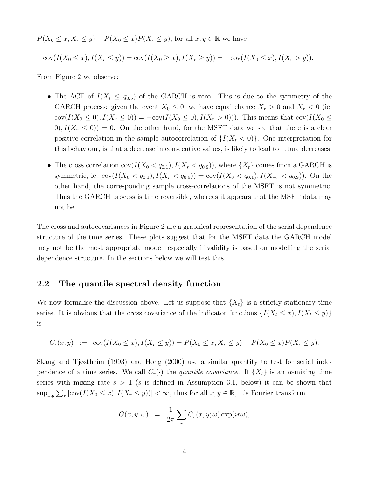$P(X_0 \le x, X_r \le y) - P(X_0 \le x)P(X_r \le y)$ , for all  $x, y \in \mathbb{R}$  we have

 $cov(I(X_0 \le x), I(X_r \le y)) = cov(I(X_0 \ge x), I(X_r \ge y)) = -cov(I(X_0 \le x), I(X_r > y)).$ 

From Figure 2 we observe:

- The ACF of  $I(X_t \leq q_{0.5})$  of the GARCH is zero. This is due to the symmetry of the GARCH process: given the event  $X_0 \leq 0$ , we have equal chance  $X_r > 0$  and  $X_r < 0$  (ie. cov $(I(X_0 \le 0), I(X_r \le 0)) = -\text{cov}(I(X_0 \le 0), I(X_r > 0))$ . This means that  $\text{cov}(I(X_0 \le 0), I(X_r \le 0))$  $(0), I(X_r \leq 0)) = 0.$  On the other hand, for the MSFT data we see that there is a clear positive correlation in the sample autocorrelation of  $\{I(X_t < 0)\}\)$ . One interpretation for this behaviour, is that a decrease in consecutive values, is likely to lead to future decreases.
- The cross correlation  $cov(I(X_0 < q_{0.1}), I(X_r < q_{0.9}))$ , where  $\{X_t\}$  comes from a GARCH is symmetric, ie. cov $(I(X_0 < q_{0.1}), I(X_r < q_{0.9})) = \text{cov}(I(X_0 < q_{0.1}), I(X_{-r} < q_{0.9}))$ . On the other hand, the corresponding sample cross-correlations of the MSFT is not symmetric. Thus the GARCH process is time reversible, whereas it appears that the MSFT data may not be.

The cross and autocovariances in Figure 2 are a graphical representation of the serial dependence structure of the time series. These plots suggest that for the MSFT data the GARCH model may not be the most appropriate model, especially if validity is based on modelling the serial dependence structure. In the sections below we will test this.

#### 2.2 The quantile spectral density function

We now formalise the discussion above. Let us suppose that  $\{X_t\}$  is a strictly stationary time series. It is obvious that the cross covariance of the indicator functions  $\{I(X_t \leq x), I(X_t \leq y)\}$ is

$$
C_r(x, y) := \text{cov}(I(X_0 \le x), I(X_r \le y)) = P(X_0 \le x, X_r \le y) - P(X_0 \le x)P(X_r \le y).
$$

Skaug and Tjøstheim (1993) and Hong (2000) use a similar quantity to test for serial independence of a time series. We call  $C_r(\cdot)$  the quantile covariance. If  $\{X_t\}$  is an  $\alpha$ -mixing time series with mixing rate  $s > 1$  (s is defined in Assumption 3.1, below) it can be shown that  $\sup_{x,y} \sum_r |\text{cov}(I(X_0 \leq x), I(X_r \leq y))| < \infty$ , thus for all  $x, y \in \mathbb{R}$ , it's Fourier transform

$$
G(x, y; \omega) = \frac{1}{2\pi} \sum_{r} C_r(x, y; \omega) \exp(i r \omega),
$$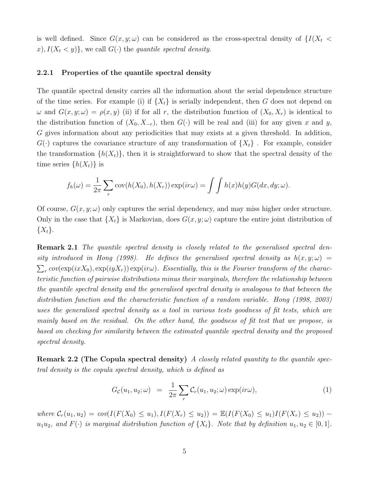is well defined. Since  $G(x, y; \omega)$  can be considered as the cross-spectral density of  $\{I(X_t \leq$  $x)$ ,  $I(X_t \leq y)$ , we call  $G(\cdot)$  the quantile spectral density.

#### 2.2.1 Properties of the quantile spectral density

The quantile spectral density carries all the information about the serial dependence structure of the time series. For example (i) if  $\{X_t\}$  is serially independent, then G does not depend on  $\omega$  and  $G(x, y; \omega) = \rho(x, y)$  (ii) if for all r, the distribution function of  $(X_0, X_r)$  is identical to the distribution function of  $(X_0, X_{-r})$ , then  $G(\cdot)$  will be real and (iii) for any given x and y, G gives information about any periodicities that may exists at a given threshold. In addition,  $G(\cdot)$  captures the covariance structure of any transformation of  $\{X_t\}$ . For example, consider the transformation  $\{h(X_t)\}\$ , then it is straightforward to show that the spectral density of the time series  $\{h(X_t)\}\$ is

$$
f_h(\omega) = \frac{1}{2\pi} \sum_r \text{cov}(h(X_0), h(X_r)) \exp(i r \omega) = \int \int h(x) h(y) G(dx, dy; \omega).
$$

Of course,  $G(x, y; \omega)$  only captures the serial dependency, and may miss higher order structure. Only in the case that  $\{X_t\}$  is Markovian, does  $G(x, y; \omega)$  capture the entire joint distribution of  $\{X_t\}.$ 

**Remark 2.1** The quantile spectral density is closely related to the generalised spectral density introduced in Hong (1998). He defines the generalised spectral density as  $h(x, y; \omega) =$  $\sum_{r} cov(\exp(ixX_0), \exp(iyX_r)) \exp(ir\omega)$ . Essentially, this is the Fourier transform of the characteristic function of pairwise distributions minus their marginals, therefore the relationship between the quantile spectral density and the generalised spectral density is analogous to that between the distribution function and the characteristic function of a random variable. Hong (1998, 2003) uses the generalised spectral density as a tool in various tests goodness of fit tests, which are mainly based on the residual. On the other hand, the goodness of fit test that we propose, is based on checking for similarity between the estimated quantile spectral density and the proposed spectral density.

Remark 2.2 (The Copula spectral density) A closely related quantity to the quantile spectral density is the copula spectral density, which is defined as

$$
G_{\mathcal{C}}(u_1, u_2; \omega) = \frac{1}{2\pi} \sum_{r} \mathcal{C}_r(u_1, u_2; \omega) \exp(i r \omega), \qquad (1)
$$

where  $C_r(u_1, u_2) = cov(I(F(X_0) \le u_1), I(F(X_r) \le u_2)) = \mathbb{E}(I(F(X_0) \le u_1), I(F(X_r) \le u_2))$  –  $u_1u_2$ , and  $F(\cdot)$  is marginal distribution function of  $\{X_t\}$ . Note that by definition  $u_1, u_2 \in [0, 1]$ .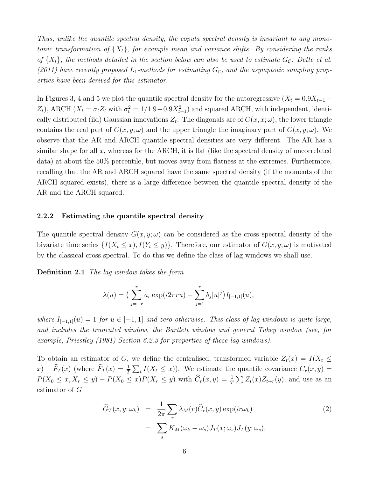Thus, unlike the quantile spectral density, the copula spectral density is invariant to any monotonic transformation of  $\{X_t\}$ , for example mean and variance shifts. By considering the ranks of  $\{X_t\}$ , the methods detailed in the section below can also be used to estimate  $G_c$ . Dette et al. (2011) have recently proposed  $L_1$ -methods for estimating  $G_c$ , and the asymptotic sampling properties have been derived for this estimator.

In Figures 3, 4 and 5 we plot the quantile spectral density for the autoregressive  $(X_t = 0.9X_{t-1} +$  $Z_t$ ), ARCH ( $X_t = \sigma_t Z_t$  with  $\sigma_t^2 = 1/1.9 + 0.9X_{t-1}^2$ ) and squared ARCH, with independent, identically distributed (iid) Gaussian innovations  $Z_t$ . The diagonals are of  $G(x, x; \omega)$ , the lower triangle contains the real part of  $G(x, y; \omega)$  and the upper triangle the imaginary part of  $G(x, y; \omega)$ . We observe that the AR and ARCH quantile spectral densities are very different. The AR has a similar shape for all x, whereas for the ARCH, it is flat (like the spectral density of uncorrelated data) at about the 50% percentile, but moves away from flatness at the extremes. Furthermore, recalling that the AR and ARCH squared have the same spectral density (if the moments of the ARCH squared exists), there is a large difference between the quantile spectral density of the AR and the ARCH squared.

#### 2.2.2 Estimating the quantile spectral density

The quantile spectral density  $G(x, y; \omega)$  can be considered as the cross spectral density of the bivariate time series  $\{I(X_t \leq x), I(Y_t \leq y)\}\.$  Therefore, our estimator of  $G(x, y; \omega)$  is motivated by the classical cross spectral. To do this we define the class of lag windows we shall use.

Definition 2.1 The lag window takes the form

$$
\lambda(u) = \left(\sum_{j=-r}^{r} a_r \exp(i2\pi ru) - \sum_{j=1}^{r} b_j |u|^j\right) I_{[-1,1]}(u),
$$

where  $I_{[-1,1]}(u) = 1$  for  $u \in [-1,1]$  and zero otherwise. This class of lag windows is quite large, and includes the truncated window, the Bartlett window and general Tukey window (see, for example, Priestley (1981) Section 6.2.3 for properties of these lag windows).

To obtain an estimator of G, we define the centralised, transformed variable  $Z_t(x) = I(X_t \leq$  $f(x) - \widehat{F}_T(x)$  (where  $\widehat{F}_T(x) = \frac{1}{T} \sum_t I(X_t \leq x)$ ). We estimate the quantile covariance  $C_r(x, y) = \widehat{F}_T(x)$  $P(X_0 \le x, X_r \le y) - P(X_0 \le x)P(X_r \le y)$  with  $\hat{C}_r(x, y) = \frac{1}{T} \sum Z_t(x)Z_{t+r}(y)$ , and use as an estimator of G

$$
\widehat{G}_T(x, y; \omega_k) = \frac{1}{2\pi} \sum_r \lambda_M(r) \widehat{C}_r(x, y) \exp(i r \omega_k)
$$
\n
$$
= \sum_s K_M(\omega_k - \omega_s) J_T(x; \omega_s) \overline{J_T(y; \omega_s)},
$$
\n(2)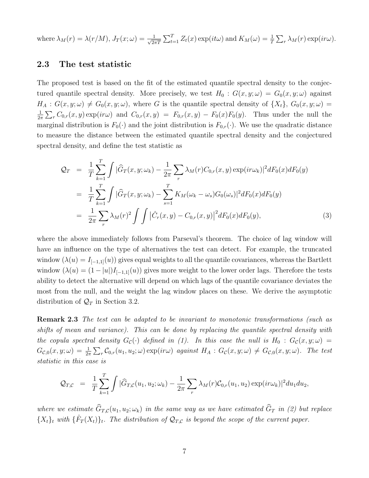where  $\lambda_M(r) = \lambda(r/M)$ ,  $J_T(x;\omega) = \frac{1}{\sqrt{2\pi}}$  $\frac{1}{2\pi T} \sum_{t=1}^{T} Z_t(x) \exp(it\omega)$  and  $K_M(\omega) = \frac{1}{T} \sum_{r} \lambda_M(r) \exp(i r \omega)$ .

#### 2.3 The test statistic

The proposed test is based on the fit of the estimated quantile spectral density to the conjectured quantile spectral density. More precisely, we test  $H_0 : G(x, y; \omega) = G_0(x, y; \omega)$  against  $H_A: G(x,y;\omega) \neq G_0(x,y;\omega)$ , where G is the quantile spectral density of  $\{X_t\}$ ,  $G_0(x,y;\omega)$  = 1  $\frac{1}{2\pi} \sum_{r} C_{0,r}(x, y) \exp(i r \omega)$  and  $C_{0,r}(x, y) = F_{0,r}(x, y) - F_0(x) F_0(y)$ . Thus under the null the marginal distribution is  $F_0(\cdot)$  and the joint distribution is  $F_{0,r}(\cdot)$ . We use the quadratic distance to measure the distance between the estimated quantile spectral density and the conjectured spectral density, and define the test statistic as

$$
\mathcal{Q}_T = \frac{1}{T} \sum_{k=1}^T \int |\widehat{G}_T(x, y; \omega_k) - \frac{1}{2\pi} \sum_r \lambda_M(r) C_{0,r}(x, y) \exp(i r \omega_k)|^2 dF_0(x) dF_0(y)
$$
  
\n
$$
= \frac{1}{T} \sum_{k=1}^T \int |\widehat{G}_T(x, y; \omega_k) - \sum_{s=1}^T K_M(\omega_k - \omega_s) G_0(\omega_s)|^2 dF_0(x) dF_0(y)
$$
  
\n
$$
= \frac{1}{2\pi} \sum_r \lambda_M(r)^2 \int \int |\widehat{C}_r(x, y) - C_{0,r}(x, y)|^2 dF_0(x) dF_0(y), \tag{3}
$$

where the above immediately follows from Parseval's theorem. The choice of lag window will have an influence on the type of alternatives the test can detect. For example, the truncated window  $(\lambda(u) = I_{[-1,1]}(u))$  gives equal weights to all the quantile covariances, whereas the Bartlett window  $(\lambda(u) = (1 - |u|)I_{[-1,1]}(u))$  gives more weight to the lower order lags. Therefore the tests ability to detect the alternative will depend on which lags of the quantile covariance deviates the most from the null, and the weight the lag window places on these. We derive the asymptotic distribution of  $\mathcal{Q}_T$  in Section 3.2.

**Remark 2.3** The test can be adapted to be invariant to monotonic transformations (such as shifts of mean and variance). This can be done by replacing the quantile spectral density with the copula spectral density  $G_{\mathcal{C}}(\cdot)$  defined in (1). In this case the null is  $H_0 : G_{\mathcal{C}}(x, y; \omega) =$  $G_{\mathcal{C},0}(x,y;\omega) = \frac{1}{2\pi} \sum_{r} \mathcal{C}_{0,r}(u_1,u_2;\omega) \exp(i r\omega)$  against  $H_A: G_{\mathcal{C}}(x,y;\omega) \neq G_{\mathcal{C},0}(x,y;\omega)$ . The test statistic in this case is

$$
\mathcal{Q}_{T,C} = \frac{1}{T} \sum_{k=1}^{T} \int |\widehat{G}_{T,C}(u_1, u_2; \omega_k) - \frac{1}{2\pi} \sum_{r} \lambda_M(r) \mathcal{C}_{0,r}(u_1, u_2) \exp(i r \omega_k)|^2 du_1 du_2,
$$

where we estimate  $\widehat{G}_{T,C}(u_1, u_2; \omega_k)$  in the same way as we have estimated  $\widehat{G}_T$  in (2) but replace  ${X_t}_t$  with  ${\{\hat{F}_T(X_t)\}_t}$ . The distribution of  $\mathcal{Q}_{T,C}$  is beyond the scope of the current paper.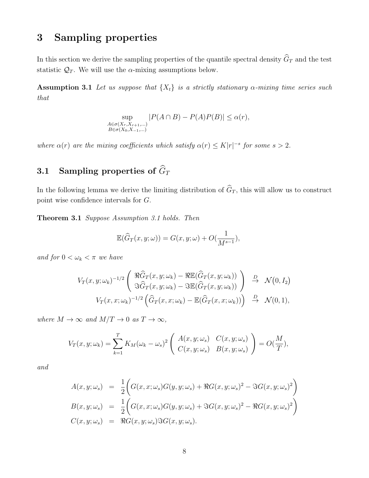## 3 Sampling properties

In this section we derive the sampling properties of the quantile spectral density  $\widehat{G}_T$  and the test statistic  $\mathcal{Q}_T$ . We will use the  $\alpha$ -mixing assumptions below.

**Assumption 3.1** Let us suppose that  $\{X_t\}$  is a strictly stationary  $\alpha$ -mixing time series such that

$$
\sup_{\substack{A \in \sigma(X_r, X_{r+1}, \dots) \\ B \in \sigma(X_0, X_{-1}, \dots)}} |P(A \cap B) - P(A)P(B)| \le \alpha(r),
$$

where  $\alpha(r)$  are the mixing coefficients which satisfy  $\alpha(r) \leq K|r|^{-s}$  for some  $s > 2$ .

## 3.1 Sampling properties of  $\widehat{G}_T$

In the following lemma we derive the limiting distribution of  $\widehat{G}_T$ , this will allow us to construct point wise confidence intervals for G.

Theorem 3.1 Suppose Assumption 3.1 holds. Then

$$
\mathbb{E}(\widehat{G}_T(x,y;\omega)) = G(x,y;\omega) + O(\frac{1}{M^{s-1}}),
$$

and for  $0 < \omega_k < \pi$  we have

$$
V_T(x, y; \omega_k)^{-1/2} \begin{pmatrix} \Re \widehat{G}_T(x, y; \omega_k) - \Re \mathbb{E}(\widehat{G}_T(x, y; \omega_k)) \\ \Im \widehat{G}_T(x, y; \omega_k) - \Im \mathbb{E}(\widehat{G}_T(x, y; \omega_k)) \end{pmatrix} \xrightarrow{D} \mathcal{N}(0, I_2)
$$
  

$$
V_T(x, x; \omega_k)^{-1/2} \left( \widehat{G}_T(x, x; \omega_k) - \mathbb{E}(\widehat{G}_T(x, x; \omega_k)) \right) \xrightarrow{D} \mathcal{N}(0, 1),
$$

where  $M \to \infty$  and  $M/T \to 0$  as  $T \to \infty$ ,

$$
V_T(x, y; \omega_k) = \sum_{k=1}^T K_M(\omega_k - \omega_s)^2 \begin{pmatrix} A(x, y; \omega_s) & C(x, y; \omega_s) \\ C(x, y; \omega_s) & B(x, y; \omega_s) \end{pmatrix} = O(\frac{M}{T}),
$$

and

$$
A(x, y; \omega_s) = \frac{1}{2} \Big( G(x, x; \omega_s) G(y, y; \omega_s) + \Re G(x, y; \omega_s)^2 - \Im G(x, y; \omega_s)^2 \Big)
$$
  
\n
$$
B(x, y; \omega_s) = \frac{1}{2} \Big( G(x, x; \omega_s) G(y, y; \omega_s) + \Im G(x, y; \omega_s)^2 - \Re G(x, y; \omega_s)^2 \Big)
$$
  
\n
$$
C(x, y; \omega_s) = \Re G(x, y; \omega_s) \Im G(x, y; \omega_s).
$$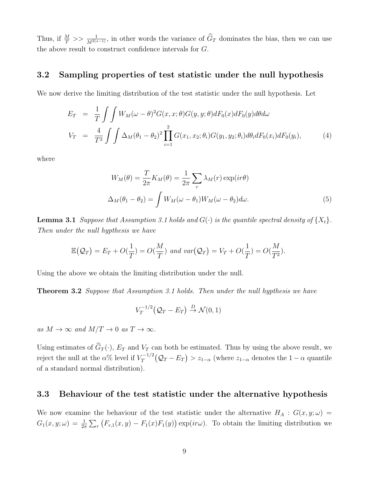Thus, if  $\frac{M}{T} \gg \frac{1}{M^{2(s-1)}}$ , in other words the variance of  $\widehat{G}_T$  dominates the bias, then we can use the above result to construct confidence intervals for G.

#### 3.2 Sampling properties of test statistic under the null hypothesis

We now derive the limiting distribution of the test statistic under the null hypothesis. Let

$$
E_T = \frac{1}{T} \int \int W_M(\omega - \theta)^2 G(x, x; \theta) G(y, y; \theta) dF_0(x) dF_0(y) d\theta d\omega
$$
  

$$
V_T = \frac{4}{T^2} \int \int \Delta_M (\theta_1 - \theta_2)^2 \prod_{i=1}^2 G(x_1, x_2; \theta_i) G(y_1, y_2; \theta_i) d\theta_i dF_0(x_i) dF_0(y_i),
$$
 (4)

where

$$
W_M(\theta) = \frac{T}{2\pi} K_M(\theta) = \frac{1}{2\pi} \sum_r \lambda_M(r) \exp(ir\theta)
$$
  

$$
\Delta_M(\theta_1 - \theta_2) = \int W_M(\omega - \theta_1) W_M(\omega - \theta_2) d\omega.
$$
 (5)

**Lemma 3.1** Suppose that Assumption 3.1 holds and  $G(\cdot)$  is the quantile spectral density of  $\{X_t\}$ . Then under the null hypthesis we have

$$
\mathbb{E}(Q_T) = E_T + O(\frac{1}{T}) = O(\frac{M}{T}) \text{ and } var(Q_T) = V_T + O(\frac{1}{T}) = O(\frac{M}{T^2}).
$$

Using the above we obtain the limiting distribution under the null.

**Theorem 3.2** Suppose that Assumption 3.1 holds. Then under the null hypthesis we have

$$
V_T^{-1/2}(\mathcal{Q}_T - E_T) \stackrel{D}{\rightarrow} \mathcal{N}(0,1)
$$

as  $M \to \infty$  and  $M/T \to 0$  as  $T \to \infty$ .

Using estimates of  $\widehat{G}_T(\cdot)$ ,  $E_T$  and  $V_T$  can both be estimated. Thus by using the above result, we reject the null at the  $\alpha\%$  level if  $V_T^{-1/2}$  $T_T^{-1/2}(\mathcal{Q}_T - E_T) > z_{1-\alpha}$  (where  $z_{1-\alpha}$  denotes the  $1-\alpha$  quantile of a standard normal distribution).

#### 3.3 Behaviour of the test statistic under the alternative hypothesis

We now examine the behaviour of the test statistic under the alternative  $H_A : G(x, y; \omega) =$  $G_1(x,y;\omega) = \frac{1}{2\pi} \sum_r (F_{r,1}(x,y) - F_1(x)F_1(y)) \exp(i r\omega)$ . To obtain the limiting distribution we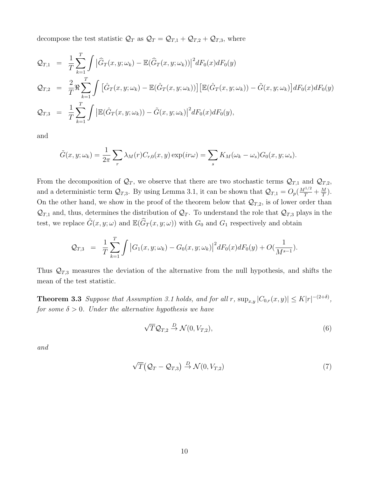decompose the test statistic  $\mathcal{Q}_T$  as  $\mathcal{Q}_T = \mathcal{Q}_{T,1} + \mathcal{Q}_{T,2} + \mathcal{Q}_{T,3}$ , where

$$
Q_{T,1} = \frac{1}{T} \sum_{k=1}^{T} \int |\widehat{G}_T(x, y; \omega_k) - \mathbb{E}(\widehat{G}_T(x, y; \omega_k))|^2 dF_0(x) dF_0(y)
$$
  
\n
$$
Q_{T,2} = \frac{2}{T} \Re \sum_{k=1}^{T} \int [\widehat{G}_T(x, y; \omega_k) - \mathbb{E}(\widehat{G}_T(x, y; \omega_k))] [\mathbb{E}(\widehat{G}_T(x, y; \omega_k)) - \widetilde{G}(x, y; \omega_k)] dF_0(x) dF_0(y)
$$
  
\n
$$
Q_{T,3} = \frac{1}{T} \sum_{k=1}^{T} \int |\mathbb{E}(\widehat{G}_T(x, y; \omega_k)) - \widetilde{G}(x, y; \omega_k)|^2 dF_0(x) dF_0(y),
$$

and

$$
\tilde{G}(x,y;\omega_k) = \frac{1}{2\pi} \sum_r \lambda_M(r) C_{r,0}(x,y) \exp(i r \omega) = \sum_s K_M(\omega_k - \omega_s) G_0(x,y;\omega_s).
$$

From the decomposition of  $\mathcal{Q}_T$ , we observe that there are two stochastic terms  $\mathcal{Q}_{T,1}$  and  $\mathcal{Q}_{T,2}$ , and a deterministic term  $\mathcal{Q}_{T,3}$ . By using Lemma 3.1, it can be shown that  $\mathcal{Q}_{T,1} = O_p(\frac{M^{1/2}}{T} + \frac{M}{T})$  $\frac{M}{T}$ ). On the other hand, we show in the proof of the theorem below that  $\mathcal{Q}_{T,2}$ , is of lower order than  $\mathcal{Q}_{T,1}$  and, thus, determines the distribution of  $\mathcal{Q}_T$ . To understand the role that  $\mathcal{Q}_{T,3}$  plays in the test, we replace  $\tilde{G}(x, y; \omega)$  and  $\mathbb{E}(\hat{G}_T(x, y; \omega))$  with  $G_0$  and  $G_1$  respectively and obtain

$$
\mathcal{Q}_{T,3} = \frac{1}{T} \sum_{k=1}^{T} \int \left| G_1(x, y; \omega_k) - G_0(x, y; \omega_k) \right|^2 dF_0(x) dF_0(y) + O(\frac{1}{M^{s-1}}).
$$

Thus  $\mathcal{Q}_{T,3}$  measures the deviation of the alternative from the null hypothesis, and shifts the mean of the test statistic.

**Theorem 3.3** Suppose that Assumption 3.1 holds, and for all r,  $\sup_{x,y} |C_{0,r}(x,y)| \le K|r|^{-(2+\delta)}$ , for some  $\delta > 0$ . Under the alternative hypothesis we have

$$
\sqrt{T}\mathcal{Q}_{T,2} \stackrel{D}{\rightarrow} \mathcal{N}(0, V_{T,2}),\tag{6}
$$

and

$$
\sqrt{T}(\mathcal{Q}_T - \mathcal{Q}_{T,3}) \stackrel{D}{\rightarrow} \mathcal{N}(0, V_{T,2})
$$
\n(7)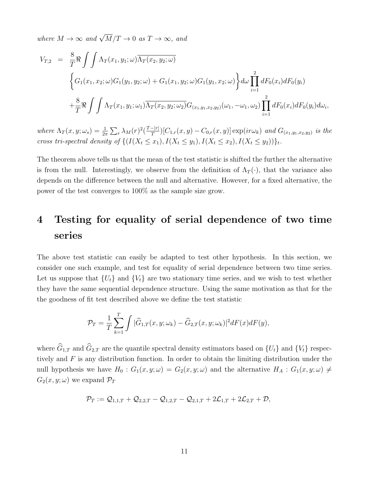where  $M \to \infty$  and  $\sqrt{M}/T \to 0$  as  $T \to \infty$ , and

$$
V_{T,2} = \frac{8}{T} \Re \int \int \Lambda_T(x_1, y_1; \omega) \overline{\Lambda_T(x_2, y_2; \omega)}
$$
  

$$
\left\{ G_1(x_1, x_2; \omega) G_1(y_1, y_2; \omega) + G_1(x_1, y_2; \omega) G_1(y_1, x_2; \omega) \right\} d\omega \prod_{i=1}^2 dF_0(x_i) dF_0(y_i)
$$
  

$$
+ \frac{8}{T} \Re \int \int \Lambda_T(x_1, y_1; \omega_1) \overline{\Lambda_T(x_2, y_2; \omega_2)} G_{(x_1, y_1, x_2, y_2)}(\omega_1, -\omega_1, \omega_2) \prod_{i=1}^2 dF_0(x_i) dF_0(y_i) d\omega_i,
$$

where  $\Lambda_T(x, y; \omega_s) = \frac{1}{2\pi} \sum_r \lambda_M(r)^2 (\frac{T-|r|}{T})$  $\frac{(-|r|)}{T}$ [C<sub>1,r</sub>(x,y) – C<sub>0,r</sub>(x,y)] exp(ir $\omega_k$ ) and G<sub>(x<sub>1</sub>,y<sub>1</sub>,x<sub>2</sub>,y<sub>2</sub>) is the</sub> cross tri-spectral density of  $\{(I(X_t \leq x_1), I(X_t \leq y_1), I(X_t \leq x_2), I(X_t \leq y_2))\}_t$ .

The theorem above tells us that the mean of the test statistic is shifted the further the alternative is from the null. Interestingly, we observe from the definition of  $\Lambda_T(\cdot)$ , that the variance also depends on the difference between the null and alternative. However, for a fixed alternative, the power of the test converges to 100% as the sample size grow.

## 4 Testing for equality of serial dependence of two time series

The above test statistic can easily be adapted to test other hypothesis. In this section, we consider one such example, and test for equality of serial dependence between two time series. Let us suppose that  $\{U_t\}$  and  $\{V_t\}$  are two stationary time series, and we wish to test whether they have the same sequential dependence structure. Using the same motivation as that for the the goodness of fit test described above we define the test statistic

$$
\mathcal{P}_T = \frac{1}{T} \sum_{k=1}^T \int |\widehat{G}_{1,T}(x,y;\omega_k) - \widehat{G}_{2,T}(x,y;\omega_k)|^2 dF(x) dF(y),
$$

where  $\widehat{G}_{1,T}$  and  $\widehat{G}_{2,T}$  are the quantile spectral density estimators based on  $\{U_t\}$  and  $\{V_t\}$  respectively and F is any distribution function. In order to obtain the limiting distribution under the null hypothesis we have  $H_0$ :  $G_1(x, y; \omega) = G_2(x, y; \omega)$  and the alternative  $H_A$ :  $G_1(x, y; \omega) \neq$  $G_2(x, y; \omega)$  we expand  $\mathcal{P}_T$ 

$$
\mathcal{P}_T:=\mathcal{Q}_{1,1,T}+\mathcal{Q}_{2,2,T}-\mathcal{Q}_{1,2,T}-\mathcal{Q}_{2,1,T}+2\mathcal{L}_{1,T}+2\mathcal{L}_{2,T}+\mathcal{D},
$$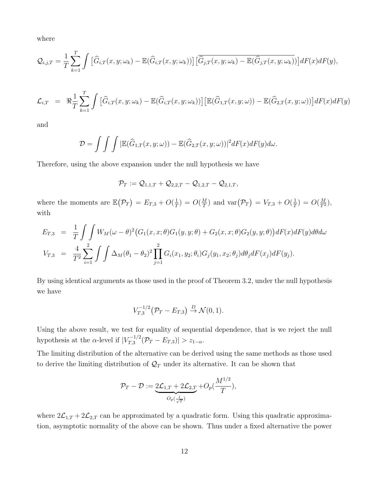where

$$
\mathcal{Q}_{i,j,T} = \frac{1}{T} \sum_{k=1}^T \int \left[ \widehat{G}_{i,T}(x,y;\omega_k) - \mathbb{E}(\widehat{G}_{i,T}(x,y;\omega_k)) \right] \left[ \overline{\widehat{G}_{j,T}(x,y;\omega_k) - \mathbb{E}(\widehat{G}_{j,T}(x,y;\omega_k))} \right] dF(x) dF(y),
$$

$$
\mathcal{L}_{i,T} = \Re \frac{1}{T} \sum_{k=1}^T \int \left[ \widehat{G}_{i,T}(x,y;\omega_k) - \mathbb{E}(\widehat{G}_{i,T}(x,y;\omega_k)) \right] \left[ \mathbb{E}(\widehat{G}_{1,T}(x,y;\omega)) - \mathbb{E}(\widehat{G}_{2,T}(x,y;\omega)) \right] dF(x) dF(y)
$$

and

$$
\mathcal{D} = \int \int \int |\mathbb{E}(\widehat{G}_{1,T}(x,y;\omega)) - \mathbb{E}(\widehat{G}_{2,T}(x,y;\omega))|^2 dF(x) dF(y) d\omega.
$$

Therefore, using the above expansion under the null hypothesis we have

$$
\mathcal{P}_T:=\mathcal{Q}_{1,1,T}+\mathcal{Q}_{2,2,T}-\mathcal{Q}_{1,2,T}-\mathcal{Q}_{2,1,T},
$$

where the moments are  $\mathbb{E}(\mathcal{P}_T) = E_{T,3} + O(\frac{1}{T})$  $\frac{1}{T}$ ) =  $O(\frac{M}{T})$  $\frac{M}{T}$ ) and  $\text{var}(\mathcal{P}_T) = V_{T,3} + O(\frac{1}{T})$  $(\frac{1}{T}) = O(\frac{M}{T^2}),$ with

$$
E_{T,3} = \frac{1}{T} \int \int W_M(\omega - \theta)^2 (G_1(x, x; \theta) G_1(y, y; \theta) + G_2(x, x; \theta) G_2(y, y; \theta)) dF(x) dF(y) d\theta d\omega
$$
  

$$
V_{T,3} = \frac{4}{T^2} \sum_{i=1}^2 \int \int \Delta_M(\theta_1 - \theta_2)^2 \prod_{j=1}^2 G_i(x_1, y_2; \theta_i) G_j(y_1, x_2; \theta_j) d\theta_j dF(x_j) dF(y_j).
$$

By using identical arguments as those used in the proof of Theorem 3.2, under the null hypothesis we have

$$
V_{T,3}^{-1/2}(\mathcal{P}_T - E_{T,3}) \stackrel{D}{\to} \mathcal{N}(0,1).
$$

Using the above result, we test for equality of sequential dependence, that is we reject the null hypothesis at the  $\alpha$ -level if  $|V_{T,3}^{-1/2}|$  $\left|\sum_{T,3}^{\tau-1/2}(\mathcal{P}_T - E_{T,3})\right| > z_{1-\alpha}.$ 

The limiting distribution of the alternative can be derived using the same methods as those used to derive the limiting distribution of  $\mathcal{Q}_T$  under its alternative. It can be shown that

$$
\mathcal{P}_T - \mathcal{D} := \underbrace{2\mathcal{L}_{1,T} + 2\mathcal{L}_{2,T}}_{O_p(\frac{1}{\sqrt{T}})} + O_p(\frac{M^{1/2}}{T}),
$$

where  $2\mathcal{L}_{1,T} + 2\mathcal{L}_{2,T}$  can be approximated by a quadratic form. Using this quadratic approximation, asymptotic normality of the above can be shown. Thus under a fixed alternative the power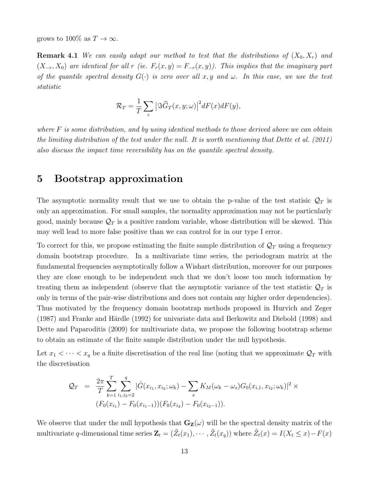grows to 100\% as  $T \to \infty$ .

**Remark 4.1** We can easily adapt our method to test that the distributions of  $(X_0, X_r)$  and  $(X_{-r}, X_0)$  are identical for all r (ie.  $F_r(x, y) = F_{-r}(x, y)$ ). This implies that the imaginary part of the quantile spectral density  $G(\cdot)$  is zero over all x, y and  $\omega$ . In this case, we use the test statistic

$$
\mathcal{R}_T = \frac{1}{T} \sum_r \left| \Im \widehat{G}_T(x, y; \omega) \right|^2 dF(x) dF(y),
$$

where  $F$  is some distribution, and by using identical methods to those derived above we can obtain the limiting distribution of the test under the null. It is worth mentioning that Dette et al. (2011) also discuss the impact time reversibility has on the quantile spectral density.

## 5 Bootstrap approximation

The asymptotic normality result that we use to obtain the p-value of the test statisic  $\mathcal{Q}_T$  is only an approximation. For small samples, the normality approximation may not be particularly good, mainly because  $\mathcal{Q}_T$  is a positive random variable, whose distribution will be skewed. This may well lead to more false positive than we can control for in our type I error.

To correct for this, we propose estimating the finite sample distribution of  $\mathcal{Q}_T$  using a frequency domain bootstrap procedure. In a multivariate time series, the periodogram matrix at the fundamental frequencies asymptotically follow a Wishart distribution, moreover for our purposes they are close enough to be independent such that we don't loose too much information by treating them as independent (observe that the asymptotic variance of the test statistic  $\mathcal{Q}_T$  is only in terms of the pair-wise distributions and does not contain any higher order dependencies). Thus motivated by the frequency domain bootstrap methods proposed in Hurvich and Zeger  $(1987)$  and Franke and Härdle  $(1992)$  for univariate data and Berkowitz and Diebold  $(1998)$  and Dette and Paparoditis (2009) for multivariate data, we propose the following bootstrap scheme to obtain an estimate of the finite sample distribution under the null hypothesis.

Let  $x_1 < \cdots < x_q$  be a finite discretisation of the real line (noting that we approximate  $\mathcal{Q}_T$  with the discretisation

$$
Q_T = \frac{2\pi}{T} \sum_{k=1}^T \sum_{i_1, i_2=2}^q |\hat{G}(x_{i_1}, x_{i_2}; \omega_k) - \sum_s K_M(\omega_k - \omega_s) G_0(x_{i,1}, x_{i_2}; \omega_k)|^2 \times (F_0(x_{i_1}) - F_0(x_{i_1-1})) (F_0(x_{i_2}) - F_0(x_{i_2-1})).
$$

We observe that under the null hypothesis that  $G_{\mathbf{Z}}(\omega)$  will be the spectral density matrix of the multivariate q-dimensional time series  $\mathbf{Z}_t = (\tilde{Z}_t(x_1), \cdots, \tilde{Z}_t(x_q))$  where  $\tilde{Z}_t(x) = I(X_t \leq x) - F(x)$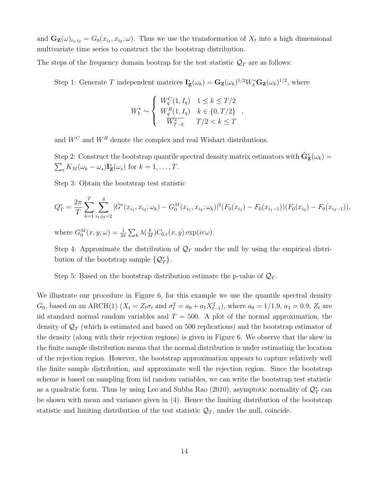and  $\mathbf{G}_{\mathbf{Z}}(\omega)_{i_1,i_2} = G_0(x_{i_1}, x_{i_2}; \omega)$ . Thus we use the transformation of  $X_t$  into a high dimensional multivariate time series to construct the the bootstrap distribution.

The steps of the frequency domain bootrap for the test statistic  $\mathcal{Q}_T$  are as follows:

Step 1: Generate T independent matrices  $I_{\mathbf{Z}}^*(\omega_k) = \mathbf{G}_{\mathbf{Z}}(\omega_k)^{1/2} W_k^* \mathbf{G}_{\mathbf{Z}}(\omega_k)^{1/2}$ , where

$$
W_k^* \sim \begin{cases} W_q^C(1, I_q) & 1 \le k \le T/2 \\ W_q^R(1, I_q) & k \in \{0, T/2\} \\ \overline{W_{T-k}^*} & T/2 < k \le T \end{cases}
$$

and  $W^C$  and  $W^R$  denote the complex and real Wishart distributions.

Step 2: Construct the bootstrap quantile spectral density matrix estimators with  $\hat{\mathbf{G}}_{\mathbf{Z}}^{*}(\omega_{k}) =$  $\sum_{s} K_M(\omega_k - \omega_s) \mathbf{I}_{\mathbf{Z}}^*(\omega_s)$  for  $k = 1, \ldots, T$ .

Step 3: Obtain the bootstrap test statistic

$$
Q_T^* = \frac{2\pi}{T} \sum_{k=1}^T \sum_{i_1, i_2=2}^q |\hat{G}^*(x_{i_1}, x_{i_2}; \omega_k) - G_0^M(x_{i_1}, x_{i_2}; \omega_k)|^2 (F_0(x_{i_1}) - F_0(x_{i_1-1})) (F_0(x_{i_2}) - F_0(x_{i_2-1})),
$$

where  $G_0^M(x, y; \omega) = \frac{1}{2\pi} \sum_k \lambda(\frac{k}{M})$  $\frac{k}{M}$ ) $C_{0,r}(x, y)$  exp $(i r \omega)$ .

Step 4: Approximate the distribution of  $\mathcal{Q}_T$  under the null by using the empirical distribution of the bootstrap sample  $\{Q_T^*\}.$ 

Step 5: Based on the bootstrap distribution estimate the p-value of  $\mathcal{Q}_T$ .

We illustrate our procedure in Figure 6, for this example we use the quantile spectral density  $G_0$ , based on an ARCH(1)  $(X_t = Z_t \sigma_t$  and  $\sigma_t^2 = a_0 + a_1 X_{t-1}^2)$ , where  $a_0 = 1/1.9$ ,  $a_1 = 0.9$ ,  $Z_t$  are iid standard normal random variables and  $T = 500$ . A plot of the normal approximation, the density of  $\mathcal{Q}_T$  (which is estimated and based on 500 replications) and the bootstrap estimator of the density (along with their rejection regions) is given in Figure 6. We observe that the skew in the finite sample distribution means that the normal distribution is under estimating the location of the rejection region. However, the bootstrap approximation appears to capture relatively well the finite sample distribution, and approximate well the rejection region. Since the bootstrap scheme is based on sampling from iid random variables, we can write the bootstrap test statistic as a quadratic form. Thus by using Lee and Subba Rao (2010), asymptotic normality of  $\mathcal{Q}_T^*$  can be shown with mean and variance given in (4). Hence the limiting distribution of the bootstrap statistic and limiting distribution of the test statistic  $\mathcal{Q}_T$ , under the null, coincide.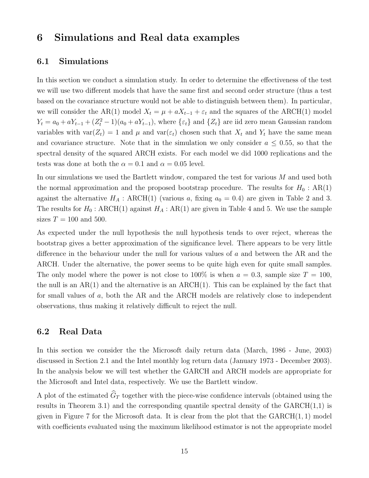## 6 Simulations and Real data examples

#### 6.1 Simulations

In this section we conduct a simulation study. In order to determine the effectiveness of the test we will use two different models that have the same first and second order structure (thus a test based on the covariance structure would not be able to distinguish between them). In particular, we will consider the AR(1) model  $X_t = \mu + aX_{t-1} + \varepsilon_t$  and the squares of the ARCH(1) model  $Y_t = a_0 + aY_{t-1} + (Z_t^2 - 1)(a_0 + aY_{t-1})$ , where  $\{\varepsilon_t\}$  and  $\{Z_t\}$  are iid zero mean Gaussian random variables with  $var(Z_t) = 1$  and  $\mu$  and  $var(\varepsilon_t)$  chosen such that  $X_t$  and  $Y_t$  have the same mean and covariance structure. Note that in the simulation we only consider  $a \leq 0.55$ , so that the spectral density of the squared ARCH exists. For each model we did 1000 replications and the tests was done at both the  $\alpha = 0.1$  and  $\alpha = 0.05$  level.

In our simulations we used the Bartlett window, compared the test for various M and used both the normal approximation and the proposed bootstrap procedure. The results for  $H_0$ : AR(1) against the alternative  $H_A$ : ARCH(1) (various a, fixing  $a_0 = 0.4$ ) are given in Table 2 and 3. The results for  $H_0$ : ARCH(1) against  $H_A$ : AR(1) are given in Table 4 and 5. We use the sample sizes  $T = 100$  and 500.

As expected under the null hypothesis the null hypothesis tends to over reject, whereas the bootstrap gives a better approximation of the significance level. There appears to be very little difference in the behaviour under the null for various values of a and between the AR and the ARCH. Under the alternative, the power seems to be quite high even for quite small samples. The only model where the power is not close to 100% is when  $a = 0.3$ , sample size  $T = 100$ , the null is an  $AR(1)$  and the alternative is an  $ARCH(1)$ . This can be explained by the fact that for small values of a, both the AR and the ARCH models are relatively close to independent observations, thus making it relatively difficult to reject the null.

#### 6.2 Real Data

In this section we consider the the Microsoft daily return data (March, 1986 - June, 2003) discussed in Section 2.1 and the Intel monthly log return data (January 1973 - December 2003). In the analysis below we will test whether the GARCH and ARCH models are appropriate for the Microsoft and Intel data, respectively. We use the Bartlett window.

A plot of the estimated  $\widehat{G}_T$  together with the piece-wise confidence intervals (obtained using the results in Theorem 3.1) and the corresponding quantile spectral density of the  $GARCH(1,1)$  is given in Figure 7 for the Microsoft data. It is clear from the plot that the  $GARCH(1, 1)$  model with coefficients evaluated using the maximum likelihood estimator is not the appropriate model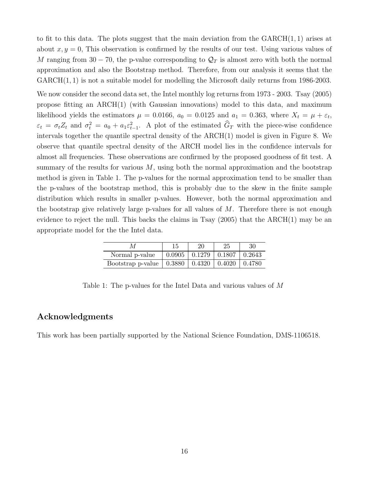to fit to this data. The plots suggest that the main deviation from the  $GARCH(1, 1)$  arises at about  $x, y = 0$ , This observation is confirmed by the results of our test. Using various values of M ranging from 30 − 70, the p-value corresponding to  $\mathcal{Q}_T$  is almost zero with both the normal approximation and also the Bootstrap method. Therefore, from our analysis it seems that the GARCH(1, 1) is not a suitable model for modelling the Microsoft daily returns from 1986-2003.

We now consider the second data set, the Intel monthly log returns from 1973 - 2003. Tsay (2005) propose fitting an ARCH(1) (with Gaussian innovations) model to this data, and maximum likelihood yields the estimators  $\mu = 0.0166$ ,  $a_0 = 0.0125$  and  $a_1 = 0.363$ , where  $X_t = \mu + \varepsilon_t$ ,  $\varepsilon_t = \sigma_t Z_t$  and  $\sigma_t^2 = a_0 + a_1 \varepsilon_{t-1}^2$ . A plot of the estimated  $G_T$  with the piece-wise confidence intervals together the quantile spectral density of the ARCH(1) model is given in Figure 8. We observe that quantile spectral density of the ARCH model lies in the confidence intervals for almost all frequencies. These observations are confirmed by the proposed goodness of fit test. A summary of the results for various  $M$ , using both the normal approximation and the bootstrap method is given in Table 1. The p-values for the normal approximation tend to be smaller than the p-values of the bootstrap method, this is probably due to the skew in the finite sample distribution which results in smaller p-values. However, both the normal approximation and the bootstrap give relatively large p-values for all values of  $M$ . Therefore there is not enough evidence to reject the null. This backs the claims in Tsay  $(2005)$  that the ARCH $(1)$  may be an appropriate model for the the Intel data.

|                                                    |                                                | 20 | 25 | 30            |
|----------------------------------------------------|------------------------------------------------|----|----|---------------|
| Normal p-value                                     | $\vert 0.0905 \vert 0.1279 \vert 0.1807 \vert$ |    |    | $\mid 0.2643$ |
| Bootstrap p-value   $0.3880$   $0.4320$   $0.4020$ |                                                |    |    | $\pm 0.4780$  |

Table 1: The p-values for the Intel Data and various values of M

#### Acknowledgments

This work has been partially supported by the National Science Foundation, DMS-1106518.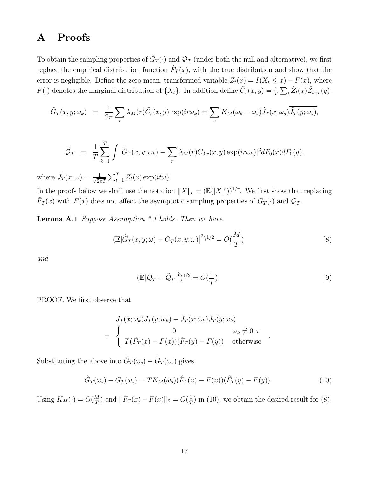## A Proofs

To obtain the sampling properties of  $\hat{G}_T(\cdot)$  and  $\mathcal{Q}_T$  (under both the null and alternative), we first replace the empirical distribution function  $\hat{F}_T(x)$ , with the true distribution and show that the error is negligible. Define the zero mean, transformed variable  $\tilde{Z}_t(x) = I(X_t \leq x) - F(x)$ , where  $F(\cdot)$  denotes the marginal distribution of  $\{X_t\}$ . In addition define  $\tilde{C}_r(x, y) = \frac{1}{T} \sum_t \tilde{Z}_t(x) \tilde{Z}_{t+r}(y)$ ,

$$
\tilde{G}_T(x, y; \omega_k) = \frac{1}{2\pi} \sum_r \lambda_M(r) \tilde{C}_r(x, y) \exp(i r \omega_k) = \sum_s K_M(\omega_k - \omega_s) \tilde{J}_T(x; \omega_s) \overline{\tilde{J}_T(y; \omega_s)},
$$

$$
\tilde{\mathcal{Q}}_T = \frac{1}{T} \sum_{k=1}^T \int |\tilde{G}_T(x, y; \omega_k) - \sum_r \lambda_M(r) C_{0,r}(x, y) \exp(i r \omega_k)|^2 dF_0(x) dF_0(y).
$$

where  $\tilde{J}_T(x;\omega) = \frac{1}{\sqrt{2\pi}}$  $\frac{1}{2\pi T} \sum_{t=1}^T Z_t(x) \exp(it\omega).$ 

In the proofs below we shall use the notation  $||X||_r = (\mathbb{E}(|X|^r))^{1/r}$ . We first show that replacing  $\hat{F}_T(x)$  with  $F(x)$  does not affect the asymptotic sampling properties of  $G_T(\cdot)$  and  $\mathcal{Q}_T$ .

Lemma A.1 Suppose Assumption 3.1 holds. Then we have

$$
\left(\mathbb{E}|\widehat{G}_T(x,y;\omega) - \widetilde{G}_T(x,y;\omega)\right)^2\right)^{1/2} = O(\frac{M}{T})\tag{8}
$$

and

$$
(\mathbb{E}|\mathcal{Q}_T - \tilde{\mathcal{Q}}_T|^2)^{1/2} = O(\frac{1}{T}).\tag{9}
$$

.

PROOF. We first observe that

$$
J_T(x; \omega_k) \overline{J_T(y; \omega_k)} - \tilde{J}_T(x; \omega_k) \overline{\tilde{J}_T(y; \omega_k)}
$$
  
= 
$$
\begin{cases} 0 & \omega_k \neq 0, \pi \\ T(\hat{F}_T(x) - F(x))(\hat{F}_T(y) - F(y)) & \text{otherwise} \end{cases}
$$

Substituting the above into  $\hat{G}_T(\omega_s) - \tilde{G}_T(\omega_s)$  gives

$$
\hat{G}_T(\omega_s) - \tilde{G}_T(\omega_s) = TK_M(\omega_s)(\hat{F}_T(x) - F(x))(\hat{F}_T(y) - F(y)).\tag{10}
$$

Using  $K_M(\cdot) = O(\frac{M}{T})$  $\frac{M}{T}$ ) and  $||\hat{F}_T(x) - F(x)||_2 = O(\frac{1}{T})$  $\frac{1}{T}$ ) in (10), we obtain the desired result for (8).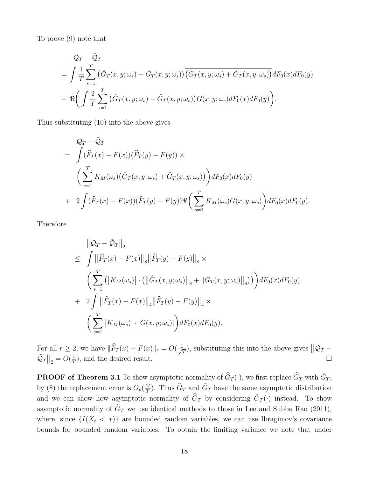To prove (9) note that

$$
Q_T - \tilde{Q}_T
$$
  
=  $\int \frac{1}{T} \sum_{s=1}^T (\hat{G}_T(x, y; \omega_s) - \tilde{G}_T(x, y; \omega_s)) (\hat{G}_T(x, y; \omega_s) + \tilde{G}_T(x, y; \omega_s)) dF_0(x) dF_0(y)$   
+  $\Re \left( \int \frac{2}{T} \sum_{s=1}^T (\hat{G}_T(x, y; \omega_s) - \tilde{G}_T(x, y; \omega_s)) G(x, y; \omega_s) dF_0(x) dF_0(y) \right).$ 

Thus substituting (10) into the above gives

$$
Q_T - \tilde{Q}_T
$$
  
= 
$$
\int (\widehat{F}_T(x) - F(x))(\widehat{F}_T(y) - F(y)) \times
$$
  

$$
\left(\sum_{s=1}^T K_M(\omega_s) (\widehat{G}_T(x, y; \omega_s) + \tilde{G}_T(x, y; \omega_s))\right) dF_0(x) dF_0(y)
$$
  
+ 
$$
2 \int (\widehat{F}_T(x) - F(x))(\widehat{F}_T(y) - F(y)) \Re\left(\sum_{s=1}^T K_M(\omega_s) G(x, y; \omega_s)\right) dF_0(x) dF_0(y).
$$

Therefore

$$
\|Q_T - \tilde{Q}_T\|_2
$$
\n
$$
\leq \int \|\widehat{F}_T(x) - F(x)\|_8 \|\widehat{F}_T(y) - F(y)\|_8 \times
$$
\n
$$
\left(\sum_{s=1}^T (|K_M(\omega_s)| \cdot (\|\widehat{G}_T(x, y; \omega_s)\|_8 + \|\widetilde{G}_T(x, y; \omega_s)\|_8))\right) dF_0(x) dF_0(y)
$$
\n
$$
+ 2 \int \|\widehat{F}_T(x) - F(x)\|_4 \|\widehat{F}_T(y) - F(y)\|_4 \times
$$
\n
$$
\left(\sum_{s=1}^T |K_M(\omega_s)| \cdot |G(x, y; \omega_s)|\right) dF_0(x) dF_0(y).
$$

For all  $r \geq 2$ , we have  $\|\widehat{F}_T(x) - F(x)\|_r = O(\frac{1}{\sqrt{2\pi}})$  $\frac{1}{T}$ , substituting this into the above gives  $||\mathcal{Q}_T \tilde{\mathcal{Q}}_T \Big\|_2 = O\left(\frac{1}{T}\right)$ T ), and the desired result.  $\hfill \square$ 

**PROOF of Theorem 3.1** To show asymptotic normality of  $\widehat{G}_T(\cdot)$ , we first replace  $\widehat{G}_T$  with  $\widetilde{G}_T$ , by (8) the replacement error is  $O_p(\frac{M}{T})$  $(\frac{M}{T})$ . Thus  $\widehat{G}_T$  and  $\widetilde{G}_T$  have the same asymptotic distribution and we can show how asymptotic normality of  $\hat{G}_T$  by considering  $\tilde{G}_T(\cdot)$  instead. To show asymptotic normality of  $\tilde{G}_T$  we use identical methods to those in Lee and Subba Rao (2011), where, since  $\{I(X_t < x)\}\$ are bounded random variables, we can use Ibragimov's covariance bounds for bounded random variables. To obtain the limiting variance we note that under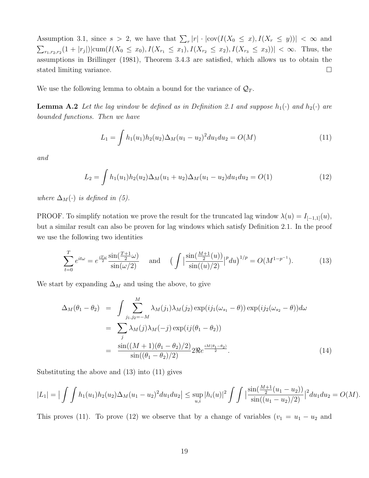Assumption 3.1, since  $s > 2$ , we have that  $\sum_{r} |r| \cdot |\text{cov}(I(X_0 \leq x), I(X_r \leq y))| < \infty$  and  $\sum_{r_1,r_2,r_2}(1+|r_j|)|\text{cum}(I(X_0 \leq x_0), I(X_{r_1} \leq x_1), I(X_{r_2} \leq x_2), I(X_{r_3} \leq x_3))| < \infty$ . Thus, the assumptions in Brillinger (1981), Theorem 3.4.3 are satisfied, which allows us to obtain the stated limiting variance.

We use the following lemma to obtain a bound for the variance of  $\mathcal{Q}_T$ .

**Lemma A.2** Let the lag window be defined as in Definition 2.1 and suppose  $h_1(\cdot)$  and  $h_2(\cdot)$  are bounded functions. Then we have

$$
L_1 = \int h_1(u_1)h_2(u_2)\Delta_M(u_1 - u_2)^2 du_1 du_2 = O(M)
$$
\n(11)

and

$$
L_2 = \int h_1(u_1)h_2(u_2)\Delta_M(u_1+u_2)\Delta_M(u_1-u_2)du_1du_2 = O(1)
$$
\n(12)

where  $\Delta_M(\cdot)$  is defined in (5).

PROOF. To simplify notation we prove the result for the truncated lag window  $\lambda(u) = I_{[-1,1]}(u)$ , but a similar result can also be proven for lag windows which satisfy Definition 2.1. In the proof we use the following two identities

$$
\sum_{t=0}^{T} e^{it\omega} = e^{\frac{iT\omega}{2}} \frac{\sin(\frac{T+1}{2}\omega)}{\sin(\omega/2)} \quad \text{and} \quad \left(\int \left|\frac{\sin(\frac{M+1}{2}(u))}{\sin((u)/2)}\right|^p du\right)^{1/p} = O(M^{1-p^{-1}}). \tag{13}
$$

We start by expanding  $\Delta_M$  and using the above, to give

$$
\Delta_M(\theta_1 - \theta_2) = \int \sum_{j_1, j_2 = -M}^{M} \lambda_M(j_1) \lambda_M(j_2) \exp(i j_1(\omega_{s_1} - \theta)) \exp(i j_2(\omega_{s_2} - \theta)) d\omega
$$

$$
= \sum_j \lambda_M(j) \lambda_M(-j) \exp(i j(\theta_1 - \theta_2))
$$

$$
= \frac{\sin((M+1)(\theta_1 - \theta_2)/2)}{\sin((\theta_1 - \theta_2)/2)} 2\Re e^{\frac{iM(\theta_1 - \theta_2)}{2}}.
$$
(14)

Substituting the above and (13) into (11) gives

$$
|L_1| = \left| \int \int h_1(u_1) h_2(u_2) \Delta_M(u_1 - u_2)^2 du_1 du_2 \right| \leq \sup_{u,i} |h_i(u)|^2 \int \int \left| \frac{\sin(\frac{M+1}{2}(u_1 - u_2))}{\sin((u_1 - u_2)/2)} \right|^2 du_1 du_2 = O(M).
$$

This proves (11). To prove (12) we observe that by a change of variables ( $v_1 = u_1 - u_2$  and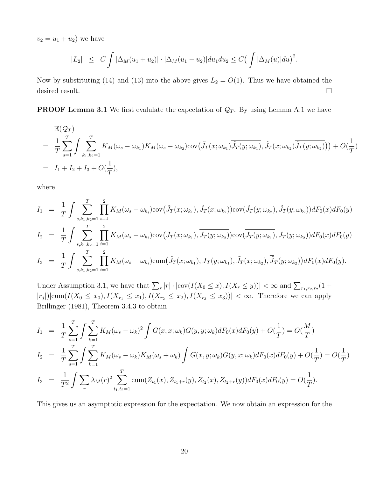$v_2 = u_1 + u_2$  we have

$$
|L_2| \leq C \int |\Delta_M(u_1 + u_2)| \cdot |\Delta_M(u_1 - u_2)| du_1 du_2 \leq C \Big( \int |\Delta_M(u)| du \Big)^2.
$$

Now by substituting (14) and (13) into the above gives  $L_2 = O(1)$ . Thus we have obtained the desired result.

**PROOF Lemma 3.1** We first evalulate the expectation of  $\mathcal{Q}_T$ . By using Lemma A.1 we have

$$
\mathbb{E}(\mathcal{Q}_T)
$$
\n
$$
= \frac{1}{T} \sum_{s=1}^T \int \sum_{k_1, k_2=1}^T K_M(\omega_s - \omega_{k_1}) K_M(\omega_s - \omega_{k_2}) \text{cov}\big(\tilde{J}_T(x; \omega_{k_1}) \overline{\tilde{J}_T(y; \omega_{k_1})}, \tilde{J}_T(x; \omega_{k_2}) \overline{\tilde{J}_T(y; \omega_{k_2})}\big) + O(\frac{1}{T})
$$
\n
$$
= I_1 + I_2 + I_3 + O(\frac{1}{T}),
$$

where

$$
I_{1} = \frac{1}{T} \int \sum_{s,k_{1},k_{2}=1}^{T} \prod_{i=1}^{2} K_{M}(\omega_{s} - \omega_{k_{i}}) \text{cov}(\tilde{J}_{T}(x;\omega_{k_{1}}), \tilde{J}_{T}(x;\omega_{k_{2}})) \text{cov}(\tilde{J}_{T}(y;\omega_{k_{2}}), \tilde{J}_{T}(y;\omega_{k_{2}})) dF_{0}(x) dF_{0}(y)
$$
  
\n
$$
I_{2} = \frac{1}{T} \int \sum_{s,k_{1},k_{2}=1}^{T} \prod_{i=1}^{2} K_{M}(\omega_{s} - \omega_{k_{i}}) \text{cov}(\tilde{J}_{T}(x;\omega_{k_{1}}), \tilde{J}_{T}(y;\omega_{k_{2}})) \text{cov}(\tilde{J}_{T}(y;\omega_{k_{1}}), \tilde{J}_{T}(y;\omega_{k_{2}})) dF_{0}(x) dF_{0}(y)
$$
  
\n
$$
I_{3} = \frac{1}{T} \int \sum_{s,k_{1},k_{2}=1}^{T} \prod_{i=1}^{2} K_{M}(\omega_{s} - \omega_{k_{i}}) \text{cum}(\tilde{J}_{T}(x;\omega_{k_{1}}), \overline{J}_{T}(y;\omega_{k_{1}}), \tilde{J}_{T}(x;\omega_{k_{2}}), \overline{\tilde{J}}_{T}(y;\omega_{k_{2}})) dF_{0}(x) dF_{0}(y).
$$

Under Assumption 3.1, we have that  $\sum_r |r| \cdot |\text{cov}(I(X_0 \le x), I(X_r \le y))| < \infty$  and  $\sum_{r_1, r_2, r_2} (1 +$  $|r_j|$ |cum $(I(X_0 \le x_0), I(X_{r_1} \le x_1), I(X_{r_2} \le x_2), I(X_{r_3} \le x_3))| < \infty$ . Therefore we can apply Brillinger (1981), Theorem 3.4.3 to obtain

$$
I_1 = \frac{1}{T} \sum_{s=1}^T \int \sum_{k=1}^T K_M(\omega_s - \omega_k)^2 \int G(x, x; \omega_k) G(y, y; \omega_k) dF_0(x) dF_0(y) + O(\frac{1}{T}) = O(\frac{M}{T})
$$
  
\n
$$
I_2 = \frac{1}{T} \sum_{s=1}^T \int \sum_{k=1}^T K_M(\omega_s - \omega_k) K_M(\omega_s + \omega_k) \int G(x, y; \omega_k) G(y, x; \omega_k) dF_0(x) dF_0(y) + O(\frac{1}{T}) = O(\frac{1}{T})
$$
  
\n
$$
I_3 = \frac{1}{T^2} \int \sum_{r} \lambda_M(r)^2 \sum_{t_1, t_2 = 1}^T \text{cum}(Z_{t_1}(x), Z_{t_1+r}(y), Z_{t_2}(x), Z_{t_2+r}(y)) dF_0(x) dF_0(y) = O(\frac{1}{T}).
$$

This gives us an asymptotic expression for the expectation. We now obtain an expression for the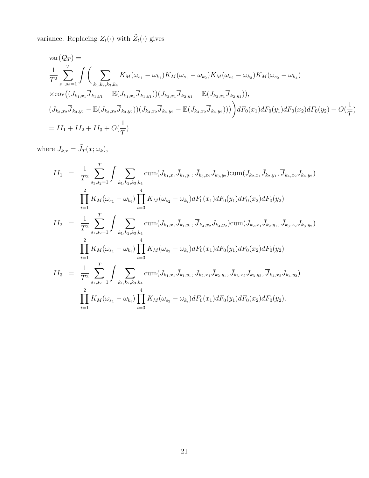variance. Replacing  $Z_t(\cdot)$  with  $\tilde{Z}_t(\cdot)$  gives

$$
\begin{split}\n&\n\text{var}(\mathcal{Q}_{T}) = \\
&\frac{1}{T^{2}} \sum_{s_{1}, s_{2}=1}^{T} \int \bigg( \sum_{k_{1}, k_{2}, k_{3}, k_{4}} K_{M}(\omega_{s_{1}} - \omega_{k_{1}}) K_{M}(\omega_{s_{1}} - \omega_{k_{2}}) K_{M}(\omega_{s_{2}} - \omega_{k_{3}}) K_{M}(\omega_{s_{2}} - \omega_{k_{4}}) \\
&\times \text{cov}((J_{k_{1}, x_{1}} \overline{J}_{k_{1}, y_{1}} - \mathbb{E}(J_{k_{1}, x_{1}} \overline{J}_{k_{1}, y_{1}})) (J_{k_{2}, x_{1}} \overline{J}_{k_{2}, y_{1}} - \mathbb{E}(J_{k_{2}, x_{1}} \overline{J}_{k_{2}, y_{1}})), \\
&(J_{k_{3}, x_{2}} \overline{J}_{k_{3}, y_{2}} - \mathbb{E}(J_{k_{3}, x_{2}} \overline{J}_{k_{3}, y_{2}})) (J_{k_{4}, x_{2}} \overline{J}_{k_{4}, y_{2}} - \mathbb{E}(J_{k_{4}, x_{2}} \overline{J}_{k_{4}, y_{2}})))\bigg) dF_{0}(x_{1}) dF_{0}(y_{1}) dF_{0}(x_{2}) dF_{0}(y_{2}) + O(\frac{1}{T}) \\
&= II_{1} + II_{2} + II_{3} + O(\frac{1}{T})\n\end{split}
$$

where  $J_{k,x} = \tilde{J}_T(x; \omega_k),$ 

$$
II_{1} = \frac{1}{T^{2}} \sum_{s_{1}, s_{2}=1}^{T} \int \sum_{k_{1}, k_{2}, k_{3}, k_{4}} \text{cum}(J_{k_{1}, x_{1}} \bar{J}_{k_{1}, y_{1}}, \bar{J}_{k_{3}, x_{2}} J_{k_{3}, y_{2}}) \text{cum}(J_{k_{2}, x_{1}} \bar{J}_{k_{2}, y_{1}}, \bar{J}_{k_{4}, x_{2}} J_{k_{4}, y_{2}})
$$
\n
$$
\prod_{i=1}^{2} K_{M}(\omega_{s_{1}} - \omega_{k_{i}}) \prod_{i=3}^{4} K_{M}(\omega_{s_{2}} - \omega_{k_{i}}) dF_{0}(x_{1}) dF_{0}(y_{1}) dF_{0}(x_{2}) dF_{0}(y_{2})
$$
\n
$$
II_{2} = \frac{1}{T^{2}} \sum_{s_{1}, s_{2}=1}^{T} \int \sum_{k_{1}, k_{2}, k_{3}, k_{4}} \text{cum}(J_{k_{1}, x_{1}} \bar{J}_{k_{1}, y_{1}}, \bar{J}_{k_{4}, x_{2}} J_{k_{4}, y_{2}}) \text{cum}(J_{k_{2}, x_{1}} \bar{J}_{k_{2}, y_{1}}, \bar{J}_{k_{3}, x_{2}} J_{k_{3}, y_{2}})
$$
\n
$$
\prod_{i=1}^{2} K_{M}(\omega_{s_{1}} - \omega_{k_{i}}) \prod_{i=3}^{4} K_{M}(\omega_{s_{2}} - \omega_{k_{i}}) dF_{0}(x_{1}) dF_{0}(y_{1}) dF_{0}(x_{2}) dF_{0}(y_{2})
$$
\n
$$
II_{3} = \frac{1}{T^{2}} \sum_{s_{1}, s_{2}=1}^{T} \int \sum_{k_{1}, k_{2}, k_{3}, k_{4}} \text{cum}(J_{k_{1}, x_{1}} \bar{J}_{k_{1}, y_{1}}, J_{k_{2}, x_{1}} \bar{J}_{k_{2}, y_{1}}, \bar{J}_{k_{3}, x_{2}} J_{k_{3}, y_{2}}, \bar{J}_{k_{4}, x_{2}} J_{k_{4}, y_{2}})
$$
\n
$$
\prod_{i=1}^{2} K_{M}(\omega_{s_{1}} - \omega_{k_{i}}) \prod_{i=3}^{4} K_{M}(\omega_{s_{2}} - \omega_{k_{i}}) dF_{0
$$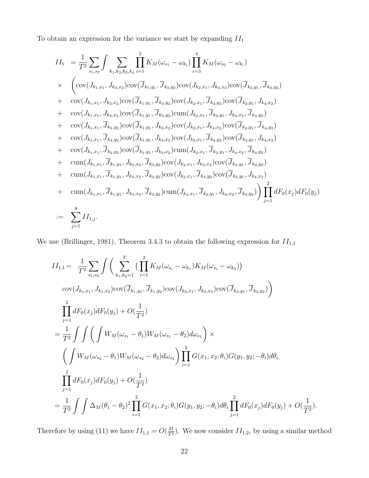To obtain an expression for the variance we start by expanding  $\mathcal{I}\mathcal{I}_1$ 

$$
II_{1} = \frac{1}{T^{2}} \sum_{s_{1},s_{2}} \int \sum_{k_{1},k_{2},k_{3},k_{4}} \prod_{i=1}^{2} K_{M}(\omega_{s_{1}} - \omega_{k_{i}}) \prod_{i=3}^{4} K_{M}(\omega_{s_{2}} - \omega_{k_{i}})
$$
  
\n
$$
\times \left( \text{cov}(J_{k_{1},x_{1}}, J_{k_{3},x_{2}}) \text{cov}(\overline{J}_{k_{1},y_{1}}, \overline{J}_{k_{3},y_{2}}) \text{cov}(J_{k_{2},x_{1}}, J_{k_{4},x_{2}}) \text{cov}(\overline{J}_{k_{2},y_{1}}, \overline{J}_{k_{4},y_{2}})
$$
  
\n
$$
+ \text{cov}(J_{k_{1},x_{1}}, J_{k_{3},x_{2}}) \text{cov}(\overline{J}_{k_{1},y_{1}}, \overline{J}_{k_{3},y_{2}}) \text{cov}(J_{k_{2},x_{1}}, \overline{J}_{k_{4},y_{2}}) \text{cov}(\overline{J}_{k_{2},y_{1}}, J_{k_{4},x_{2}})
$$
  
\n
$$
+ \text{cov}(J_{k_{1},x_{1}}, J_{k_{3},x_{2}}) \text{cov}(\overline{J}_{k_{1},y_{1}}, \overline{J}_{k_{3},y_{2}}) \text{cum}(J_{k_{2},x_{1}}, \overline{J}_{k_{2},y_{1}}, J_{k_{4},x_{2}}, \overline{J}_{k_{4},y_{2}})
$$
  
\n
$$
+ \text{cov}(J_{k_{1},x_{1}}, \overline{J}_{k_{3},y_{2}}) \text{cov}(\overline{J}_{k_{1},y_{1}}, J_{k_{3},x_{2}}) \text{cov}(J_{k_{2},x_{1}}, \overline{J}_{k_{2},y_{1}}, J_{k_{4},x_{2}}, \overline{J}_{k_{4},y_{2}})
$$
  
\n
$$
+ \text{cov}(J_{k_{1},x_{1}}, \overline{J}_{k_{3},y_{2}}) \text{cov}(\overline{J}_{k_{1},y_{1}}, J_{k_{3},x_{2}}) \text{cov}(J_{k_{2},x_{1}}, \overline{J}_{k_{4},y_{2}}) \text{cov}(\overline{J}_{k_{2},y_{1}}, J_{k_{4},x_{2}})
$$
<

We use (Brillinger, 1981), Theorem 3.4.3 to obtain the following expression for  $II_{1,1}$ 

$$
II_{1,1} = \frac{1}{T^2} \sum_{s_1,s_2} \int \left( \sum_{k_1,k_2=1}^T \left( \prod_{i=1}^2 K_M(\omega_{s_i} - \omega_{k_1}) K_M(\omega_{s_i} - \omega_{k_2}) \right) \right. \n\cot(J_{k_1,x_1}, J_{k_1,x_2}) \cos(\overline{J}_{k_1,y_1}, \overline{J}_{k_1,y_2}) \cos(J_{k_2,x_1}, J_{k_2,x_2}) \cos(\overline{J}_{k_2,y_1}, \overline{J}_{k_2,y_2}) \right) \n\prod_{j=1}^2 dF_0(x_j) dF_0(y_j) + O(\frac{1}{T^2}) \n= \frac{1}{T^2} \int \int \left( \int W_M(\omega_{s_1} - \theta_1) W_M(\omega_{s_1} - \theta_2) d\omega_{s_1} \right) \times \n\left( \int W_M(\omega_{s_2} - \theta_1) W_M(\omega_{s_2} - \theta_2) d\omega_{s_2} \right) \prod_{i=1}^2 G(x_1, x_2; \theta_i) G(y_1, y_2; -\theta_i) d\theta_i \n\prod_{j=1}^2 dF_0(x_j) dF_0(y_j) + O(\frac{1}{T^2}) \n= \frac{1}{T^2} \int \int \Delta_M(\theta_1 - \theta_2)^2 \prod_{i=1}^2 G(x_1, x_2; \theta_i) G(y_1, y_2; -\theta_i) d\theta_i \prod_{j=1}^2 dF_0(x_j) dF_0(y_j) + O(\frac{1}{T^2}).
$$

Therefore by using (11) we have  $II_{1,1} = O(\frac{M}{T^2})$ . We now consider  $II_{1,2}$ , by using a similar method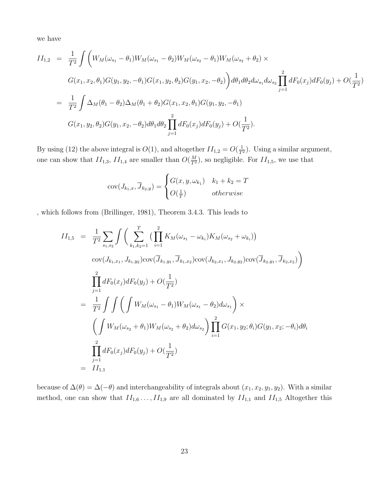we have

$$
II_{1,2} = \frac{1}{T^2} \int \left( W_M(\omega_{s_1} - \theta_1) W_M(\omega_{s_1} - \theta_2) W_M(\omega_{s_2} - \theta_1) W_M(\omega_{s_2} + \theta_2) \times
$$
  
\n
$$
G(x_1, x_2, \theta_1) G(y_1, y_2, -\theta_1) G(x_1, y_2, \theta_2) G(y_1, x_2, -\theta_2) \right) d\theta_1 d\theta_2 d\omega_{s_1} d\omega_{s_2} \prod_{j=1}^2 dF_0(x_j) dF_0(y_j) + O(\frac{1}{T^2})
$$
  
\n
$$
= \frac{1}{T^2} \int \Delta_M(\theta_1 - \theta_2) \Delta_M(\theta_1 + \theta_2) G(x_1, x_2, \theta_1) G(y_1, y_2, -\theta_1)
$$
  
\n
$$
G(x_1, y_2, \theta_2) G(y_1, x_2, -\theta_2) d\theta_1 d\theta_2 \prod_{j=1}^2 dF_0(x_j) dF_0(y_j) + O(\frac{1}{T^2}).
$$

By using (12) the above integral is  $O(1)$ , and altogether  $II_{1,2} = O(\frac{1}{T^2})$ . Using a similar argument, one can show that  $II_{1,3}$ ,  $II_{1,4}$  are smaller than  $O(\frac{M}{T^2})$ , so negligible. For  $II_{1,5}$ , we use that

$$
cov(J_{k_1,x}, \overline{J}_{k_2,y}) = \begin{cases} G(x, y, \omega_{k_1}) & k_1 + k_2 = T \\ O(\frac{1}{T}) & otherwise \end{cases}
$$

, which follows from (Brillinger, 1981), Theorem 3.4.3. This leads to

$$
II_{1,5} = \frac{1}{T^2} \sum_{s_1, s_2} \int \left( \sum_{k_1, k_2=1}^T \left( \prod_{i=1}^2 K_M(\omega_{s_1} - \omega_{k_i}) K_M(\omega_{s_2} + \omega_{k_i}) \right) \right)
$$
  
\n
$$
cov(J_{k_1, x_1}, J_{k_1, y_2}) cov(\overline{J}_{k_1, y_1}, \overline{J}_{k_1, x_2}) cov(J_{k_2, x_1}, J_{k_2, y_2}) cov(\overline{J}_{k_2, y_1}, \overline{J}_{k_2, x_2}) \right)
$$
  
\n
$$
= \prod_{j=1}^2 dF_0(x_j) dF_0(y_j) + O(\frac{1}{T^2})
$$
  
\n
$$
= \frac{1}{T^2} \int \int \left( \int W_M(\omega_{s_1} - \theta_1) W_M(\omega_{s_1} - \theta_2) d\omega_{s_1} \right) \times
$$
  
\n
$$
\left( \int W_M(\omega_{s_2} + \theta_1) W_M(\omega_{s_2} + \theta_2) d\omega_{s_2} \right) \prod_{i=1}^2 G(x_1, y_2; \theta_i) G(y_1, x_2; -\theta_i) d\theta_i
$$
  
\n
$$
= \prod_{j=1}^2 dF_0(x_j) dF_0(y_j) + O(\frac{1}{T^2})
$$
  
\n
$$
= II_{1,1}
$$

because of  $\Delta(\theta) = \Delta(-\theta)$  and interchangeability of integrals about  $(x_1, x_2, y_1, y_2)$ . With a similar method, one can show that  $II_{1,6} \ldots, II_{1,9}$  are all dominated by  $II_{1,1}$  and  $II_{1,5}$  Altogether this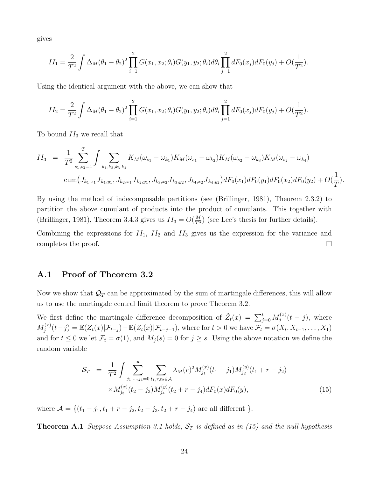gives

$$
II_1 = \frac{2}{T^2} \int \Delta_M(\theta_1 - \theta_2)^2 \prod_{i=1}^2 G(x_1, x_2; \theta_i) G(y_1, y_2; \theta_i) d\theta_i \prod_{j=1}^2 dF_0(x_j) dF_0(y_j) + O(\frac{1}{T^2}).
$$

Using the identical argument with the above, we can show that

$$
II_2 = \frac{2}{T^2} \int \Delta_M(\theta_1 - \theta_2)^2 \prod_{i=1}^2 G(x_1, x_2; \theta_i) G(y_1, y_2; \theta_i) d\theta_i \prod_{j=1}^2 dF_0(x_j) dF_0(y_j) + O(\frac{1}{T^2}).
$$

To bound  $II_3$  we recall that

$$
II_3 = \frac{1}{T^2} \sum_{s_1, s_2=1}^T \int \sum_{k_1, k_2, k_3, k_4} K_M(\omega_{s_1} - \omega_{k_1}) K_M(\omega_{s_1} - \omega_{k_2}) K_M(\omega_{s_2} - \omega_{k_3}) K_M(\omega_{s_2} - \omega_{k_4})
$$
  
\n
$$
\text{cum}\big(J_{k_1, x_1}\overline{J}_{k_1, y_1}, J_{k_2, x_1}\overline{J}_{k_2, y_1}, J_{k_3, x_2}\overline{J}_{k_3, y_2}, J_{k_4, x_2}\overline{J}_{k_4, y_2}\big) dF_0(x_1) dF_0(y_1) dF_0(x_2) dF_0(y_2) + O(\frac{1}{T}).
$$

By using the method of indecomposable partitions (see (Brillinger, 1981), Theorem 2.3.2) to partition the above cumulant of products into the product of cumulants. This together with (Brillinger, 1981), Theorem 3.4.3 gives us  $II_3 = O(\frac{M}{T^3})$  (see Lee's thesis for further details).

Combining the expressions for  $II_1$ ,  $II_2$  and  $II_3$  gives us the expression for the variance and completes the proof.  $\Box$ 

#### A.1 Proof of Theorem 3.2

Now we show that  $\mathcal{Q}_T$  can be approximated by the sum of martingale differences, this will allow us to use the martingale central limit theorem to prove Theorem 3.2.

We first define the martingale difference decomposition of  $\tilde{Z}_t(x) = \sum_{j=0}^t M_j^{(x)}$  $j^{(x)}(t-j)$ , where  $M_i^{(x)}$  $g_j^{(x)}(t-j) = \mathbb{E}(Z_t(x)|\mathcal{F}_{t-j}) - \mathbb{E}(Z_t(x)|\mathcal{F}_{t-j-1}),$  where for  $t > 0$  we have  $\mathcal{F}_t = \sigma(X_t, X_{t-1}, \ldots, X_1)$ and for  $t \leq 0$  we let  $\mathcal{F}_t = \sigma(1)$ , and  $M_j(s) = 0$  for  $j \geq s$ . Using the above notation we define the random variable

$$
\mathcal{S}_{T} = \frac{1}{T^{2}} \int \sum_{j_{1},\dots,j_{4}=0}^{\infty} \sum_{t_{1},r,t_{2} \in \mathcal{A}} \lambda_{M}(r)^{2} M_{j_{1}}^{(x)}(t_{1} - j_{1}) M_{j_{2}}^{(y)}(t_{1} + r - j_{2})
$$
  
 
$$
\times M_{j_{3}}^{(x)}(t_{2} - j_{3}) M_{j_{4}}^{(y)}(t_{2} + r - j_{4}) dF_{0}(x) dF_{0}(y), \qquad (15)
$$

where  $\mathcal{A} = \{(t_1 - j_1, t_1 + r - j_2, t_2 - j_3, t_2 + r - j_4) \text{ are all different }\}.$ 

**Theorem A.1** Suppose Assumption 3.1 holds,  $S_T$  is defined as in (15) and the null hypothesis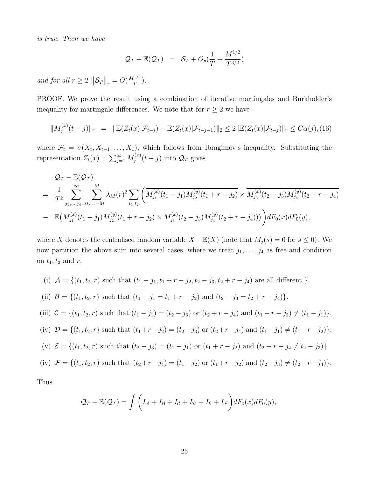is true. Then we have

$$
\mathcal{Q}_T - \mathbb{E}(\mathcal{Q}_T) = \mathcal{S}_T + O_p(\frac{1}{T} + \frac{M^{1/2}}{T^{3/2}})
$$

and for all  $r \geq 2$   $\|\mathcal{S}_T\|_r = O(\frac{M^{1/2}}{T})$  $rac{1/2}{T}$ ).

PROOF. We prove the result using a combination of iterative martingales and Burkholder's inequality for martingale differences. We note that for  $r\geq 2$  we have

$$
||M_j^{(x)}(t-j)||_r = ||\mathbb{E}(Z_t(x)|\mathcal{F}_{t-j}) - \mathbb{E}(Z_t(x)|\mathcal{F}_{t-j-1})||_2 \le 2||\mathbb{E}(Z_t(x)|\mathcal{F}_{t-j})||_r \le C\alpha(j),(16)
$$

where  $\mathcal{F}_t = \sigma(X_t, X_{t-1}, \ldots, X_1)$ , which follows from Ibragimov's inequality. Substituting the representation  $Z_t(x) = \sum_{j=1}^{\infty} M_j^{(x)}$  $\mathcal{Q}_T^{(x)}(t-j)$  into  $\mathcal{Q}_T$  gives

$$
Q_T - \mathbb{E}(Q_T)
$$
  
=  $\frac{1}{T^2} \sum_{j_1,\dots,j_4=0}^{\infty} \sum_{r=-M}^{M} \lambda_M(r)^2 \sum_{t_1,t_2} \left( \overline{M_{j_1}^{(x)}(t_1-j_1) M_{j_2}^{(y)}(t_1+r-j_2)} \times \overline{M_{j_3}^{(x)}(t_2-j_3) M_{j_4}^{(y)}(t_2+r-j_4)} \right)$   
-  $\mathbb{E}(\overline{M_{j_1}^{(x)}(t_1-j_1) M_{j_2}^{(y)}(t_1+r-j_2)} \times \overline{M_{j_3}^{(x)}(t_2-j_3) M_{j_4}^{(y)}(t_2+r-j_4)}))$  dF<sub>0</sub>(x) dF<sub>0</sub>(y),

where  $\overline{X}$  denotes the centralised random variable  $X - \mathbb{E}(X)$  (note that  $M_j(s) = 0$  for  $s \leq 0$ ). We now partition the above sum into several cases, where we treat  $j_1, \ldots, j_4$  as free and condition on  $t_1, t_2$  and r:

(i) 
$$
\mathcal{A} = \{(t_1, t_2, r) \text{ such that } (t_1 - j_1, t_1 + r - j_2, t_2 - j_3, t_2 + r - j_4) \text{ are all different }\}.
$$

(ii) 
$$
\mathcal{B} = \{(t_1, t_2, r) \text{ such that } (t_1 - j_1 = t_1 + r - j_2) \text{ and } (t_2 - j_3 = t_2 + r - j_4)\}.
$$

(iii) 
$$
C = \{(t_1, t_2, r) \text{ such that } (t_1 - j_1) = (t_2 - j_3) \text{ or } (t_2 + r - j_4) \text{ and } (t_1 + r - j_2) \neq (t_1 - j_1)\}.
$$

(iv) 
$$
\mathcal{D} = \{(t_1, t_2, r) \text{ such that } (t_1 + r - j_2) = (t_2 - j_3) \text{ or } (t_2 + r - j_4) \text{ and } (t_1 - j_1) \neq (t_1 + r - j_2)\}.
$$

(v) 
$$
\mathcal{E} = \{(t_1, t_2, r) \text{ such that } (t_2 - j_3) = (t_1 - j_1) \text{ or } (t_1 + r - j_2) \text{ and } (t_2 + r - j_4 \neq t_2 - j_3)\}.
$$

(iv) 
$$
\mathcal{F} = \{(t_1, t_2, r) \text{ such that } (t_2 + r - j_4) = (t_1 - j_2) \text{ or } (t_1 + r - j_2) \text{ and } (t_2 - j_3) \neq (t_2 + r - j_4)\}.
$$

Thus

$$
\mathcal{Q}_T - \mathbb{E}(\mathcal{Q}_T) = \int \left( I_A + I_B + I_C + I_\mathcal{D} + I_\mathcal{E} + I_\mathcal{F} \right) dF_0(x) dF_0(y),
$$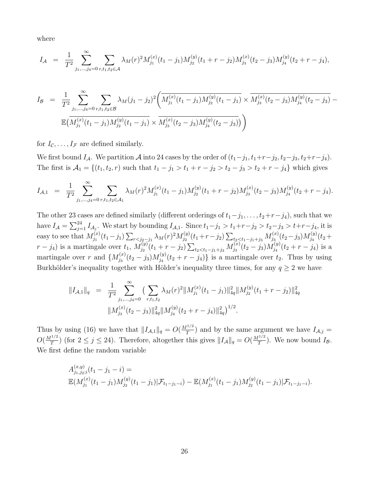where

$$
I_{\mathcal{A}} = \frac{1}{T^2} \sum_{j_1,\dots,j_4=0}^{\infty} \sum_{r,t_1,t_2 \in \mathcal{A}} \lambda_M(r)^2 M_{j_1}^{(x)}(t_1-j_1) M_{j_2}^{(y)}(t_1+r-j_2) M_{j_3}^{(x)}(t_2-j_3) M_{j_4}^{(y)}(t_2+r-j_4),
$$

$$
I_{\mathcal{B}} = \frac{1}{T^2} \sum_{j_1,\dots,j_4=0}^{\infty} \sum_{r,t_1,t_2 \in \mathcal{B}} \lambda_M (j_1 - j_2)^2 \left( \overline{M_{j_1}^{(x)}(t_1 - j_1) M_{j_2}^{(y)}(t_1 - j_1)} \times \overline{M_{j_3}^{(x)}(t_2 - j_3) M_{j_4}^{(y)}(t_2 - j_3)} - \overline{\mathbb{E} \left( M_{j_1}^{(x)}(t_1 - j_1) M_{j_2}^{(y)}(t_1 - j_1)} \times \overline{M_{j_3}^{(x)}(t_2 - j_3) M_{j_4}^{(y)}(t_2 - j_3)} \right) \right)
$$

for  $I_{\mathcal{C}}, \ldots, I_{\mathcal{F}}$  are defined similarly.

We first bound  $I_A$ . We partition A into 24 cases by the order of  $(t_1-j_1, t_1+r-j_2, t_2-j_3, t_2+r-j_4)$ . The first is  $\mathcal{A}_1 = \{(t_1, t_2, r) \text{ such that } t_1 - j_1 > t_1 + r - j_2 > t_2 - j_3 > t_2 + r - j_4\}$  which gives

$$
I_{\mathcal{A},1} = \frac{1}{T^2} \sum_{j_1,\dots,j_4=0}^{\infty} \sum_{r,t_1,t_2 \in \mathcal{A}_1} \lambda_M(r)^2 M_{j_1}^{(x)}(t_1-j_1) M_{j_2}^{(y)}(t_1+r-j_2) M_{j_3}^{(x)}(t_2-j_3) M_{j_4}^{(y)}(t_2+r-j_4).
$$

The other 23 cases are defined similarly (different orderings of  $t_1-j_1, \ldots, t_2+r-j_4$ ), such that we have  $I_A = \sum_{j=1}^{24} I_{A_j}$ . We start by bounding  $I_{A,1}$ . Since  $t_1-j_1 > t_1+r-j_2 > t_2-j_3 > t+r-j_4$ , it is easy to see that  $M_{i_1}^{(x)}$  $\sum_{j_1}^{(x)}(t_1-j_1)\sum_{r< j_2-j_1}\lambda_M(r)^2M^{(y)}_{j_2}$  $\sum_{j_2}^{(y)}(t_1+r-j_2)\sum_{t_2$  $j_3^{(x)}(t_2-j_3)M^{(y)}_{j_4}$  $j_4^{(y)}(t_2 +$  $r - j_4$ ) is a martingale over  $t_1, M_{j_2}^{(y)}$  $\sum_{j_2}^{(y)}(t_1+r-j_2)\sum_{t_2$  $j_3^{(x)}(t_2-j_3)M^{(y)}_{j_4}$  $j_4^{(y)}(t_2+r-j_4)$  is a martingale over r and  $\{M_{i_2}^{(x)}\}$  $j_3^{(x)}(t_2-j_3)M^{(y)}_{j_4}$  $j_4^{(y)}(t_2+r-j_4)$  is a martingale over  $t_2$ . Thus by using Burkhölder's inequality together with Hölder's inequality three times, for any  $q \ge 2$  we have

$$
||I_{\mathcal{A},1}||_q = \frac{1}{T^2} \sum_{j_1,\dots,j_4=0}^{\infty} \left( \sum_{r,t_1,t_2} \lambda_M(r)^2 ||M_{j_1}^{(x)}(t_1-j_1)||_{4q}^2 ||M_{j_2}^{(y)}(t_1+r-j_2)||_{4q}^2 \right)
$$
  

$$
||M_{j_3}^{(x)}(t_2-j_3)||_{4q}^2 ||M_{j_4}^{(y)}(t_2+r-j_4)||_{4q}^2 \right)^{1/2}.
$$

Thus by using (16) we have that  $||I_{\mathcal{A},1}||_q = O(\frac{M^{1/2}}{T})$  $\left(\frac{1}{T}\right)^2$  and by the same argument we have  $I_{\mathcal{A},j}$  =  $O(\frac{M^{1/2}}{T})$  $\frac{d^{1/2}}{T}$ ) (for  $2 \leq j \leq 24$ ). Therefore, altogether this gives  $||I_{\mathcal{A}}||_q = O(\frac{M^{1/2}}{T})$  $\frac{f^{1/2}}{T}$ ). We now bound  $I_{\mathcal{B}}$ . We first define the random variable

$$
A_{j_1,j_2;i}^{(x,y)}(t_1 - j_1 - i) =
$$
  
\n
$$
\mathbb{E}(M_{j_1}^{(x)}(t_1 - j_1)M_{j_2}^{(y)}(t_1 - j_1)|\mathcal{F}_{t_1-j_1-i}) - \mathbb{E}(M_{j_1}^{(x)}(t_1 - j_1)M_{j_2}^{(y)}(t_1 - j_1)|\mathcal{F}_{t_1-j_1-i}).
$$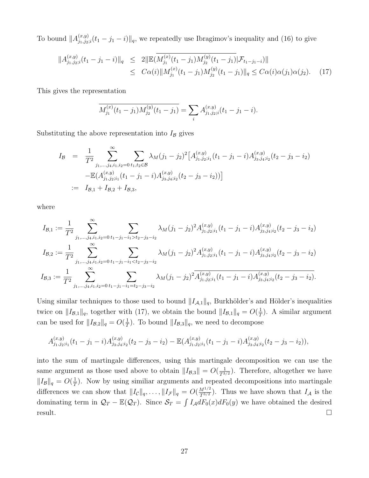To bound  $||A_{i_1,i_2}^{(x,y)}||$  $\lim_{(j_1,j_2;i}(t_1-j_1-i)\|_q$ , we repeatedly use Ibragimov's inequality and (16) to give

$$
||A_{j_1,j_2;i}^{(x,y)}(t_1 - j_1 - i)||_q \le 2||\mathbb{E}(\overline{M_{j_1}^{(x)}(t_1 - j_1)M_{j_2}^{(y)}(t_1 - j_1)}|\mathcal{F}_{t_1-j_1-i}||
$$
  
 
$$
\le C\alpha(i)||M_{j_1}^{(x)}(t_1 - j_1)M_{j_2}^{(y)}(t_1 - j_1)||_q \le C\alpha(i)\alpha(j_1)\alpha(j_2). \tag{17}
$$

This gives the representation

$$
\overline{M_{j_1}^{(x)}(t_1-j_1)M_{j_2}^{(y)}(t_1-j_1)} = \sum_i A_{j_1,j_2;i}^{(x,y)}(t_1-j_1-i).
$$

Substituting the above representation into  $I_B$  gives

$$
I_{\mathcal{B}} = \frac{1}{T^2} \sum_{j_1,\dots,j_4,i_1,i_2=0}^{\infty} \sum_{t_1,t_2 \in \mathcal{B}} \lambda_M(j_1 - j_2)^2 \left[ A_{j_1,j_2;i_1}^{(x,y)}(t_1 - j_1 - i) A_{j_3,j_4;i_2}^{(x,y)}(t_2 - j_3 - i_2) \right]
$$
  
= 
$$
I_{\mathcal{B},1} + I_{\mathcal{B},2} + I_{\mathcal{B},3},
$$

where

$$
I_{\mathcal{B},1} := \frac{1}{T^2} \sum_{j_1,\dots,j_4,i_1,i_2=0}^{\infty} \sum_{t_1-j_1-i_1>t_2-j_3-i_2} \lambda_M(j_1-j_2)^2 A_{j_1,j_2;i_1}^{(x,y)}(t_1-j_1-i) A_{j_3,j_4;i_2}^{(x,y)}(t_2-j_3-i_2)
$$
  
\n
$$
I_{\mathcal{B},2} := \frac{1}{T^2} \sum_{j_1,\dots,j_4,i_1,i_2=0}^{\infty} \sum_{t_1-j_1-i_1  
\n
$$
I_{\mathcal{B},3} := \frac{1}{T^2} \sum_{j_1,\dots,j_4,i_1,i_2=0}^{\infty} \sum_{t_1-j_1-i_1=t_2-j_3-i_2} \lambda_M(j_1-j_2)^2 \overline{A_{j_1,j_2;i_1}^{(x,y)}(t_1-j_1-i) A_{j_3,j_4;i_2}^{(x,y)}(t_2-j_3-i_2)}.
$$
$$

Using similar techniques to those used to bound  $||I_{A,1}||_q$ , Burkhölder's and Hölder's inequalities twice on  $||I_{\mathcal{B},1}||_q$ , together with (17), we obtain the bound  $||I_{\mathcal{B},1}||_q = O(\frac{1}{T})$  $\frac{1}{T}$ ). A similar argument can be used for  $||I_{\mathcal{B},2}||_q = O(\frac{1}{7})$  $\frac{1}{T}$ ). To bound  $||I_{\mathcal{B},3}||_q$ , we need to decompose

$$
A_{j_1,j_2;i_1}^{(x,y)}(t_1-j_1-i)A_{j_3,j_4;i_2}^{(x,y)}(t_2-j_3-i_2)-\mathbb{E}(A_{j_1,j_2;i_1}^{(x,y)}(t_1-j_1-i)A_{j_3,j_4;i_2}^{(x,y)}(t_2-j_3-i_2)),
$$

into the sum of martingale differences, using this martingale decomposition we can use the same argument as those used above to obtain  $||I_{\mathcal{B},3}|| = O(\frac{1}{T^{3/2}})$ . Therefore, altogether we have  $||I_{\mathcal{B}}||_q = O(\frac{1}{7})$  $\frac{1}{T}$ ). Now by using similiar arguments and repeated decompositions into martingale differences we can show that  $||I_{\mathcal{C}}||_q, \ldots, ||I_{\mathcal{F}}||_q = O(\frac{M^{1/2}}{T^{3/2}})$ . Thus we have shown that  $I_{\mathcal{A}}$  is the dominating term in  $\mathcal{Q}_T - \mathbb{E}(\mathcal{Q}_T)$ . Since  $\mathcal{S}_T = \int I_{\mathcal{A}} dF_0(x) dF_0(y)$  we have obtained the desired  $r$ esult.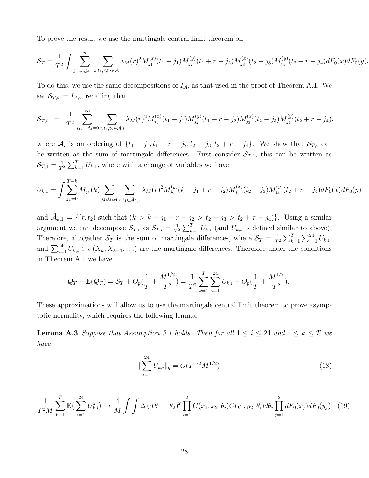To prove the result we use the martingale central limit theorem on

$$
\mathcal{S}_T = \frac{1}{T^2} \int \sum_{j_1, \dots, j_4=0}^{\infty} \sum_{t_1, r, t_2 \in \mathcal{A}} \lambda_M(r)^2 M_{j_1}^{(x)}(t_1 - j_1) M_{j_2}^{(y)}(t_1 + r - j_2) M_{j_3}^{(x)}(t_2 - j_3) M_{j_4}^{(y)}(t_2 + r - j_4) dF_0(x) dF_0(y).
$$

To do this, we use the same decompositions of  $I_A$ , as that used in the proof of Theorem A.1. We set  $\mathcal{S}_{T,i} := I_{\mathcal{A},i}$ , recalling that

$$
\mathcal{S}_{T,i} = \frac{1}{T^2} \sum_{j_1,\dots,j_4=0}^{\infty} \sum_{r,t_1,t_2 \in \mathcal{A},i} \lambda_M(r)^2 M_{j_1}^{(x)}(t_1-j_1) M_{j_2}^{(y)}(t_1+r-j_2) M_{j_3}^{(x)}(t_2-j_3) M_{j_4}^{(y)}(t_2+r-j_4),
$$

where  $\mathcal{A}_i$  is an ordering of  $\{t_1 - j_1, t_1 + r - j_2, t_2 - j_3, t_2 + r - j_4\}$ . We show that  $\mathcal{S}_{T,i}$  can be written as the sum of martingale differences. First consider  $S_{T,1}$ , this can be written as  $\mathcal{S}_{T,1}=\frac{1}{T}$  $\frac{1}{T^2} \sum_{k=1}^T U_{k,1}$ , where with a change of variables we have

$$
U_{k,1} = \int \sum_{j_1=0}^{T-k} M_{j_1}(k) \sum_{j_2,j_3,j_4} \sum_{r,t_1 \in \tilde{\mathcal{A}}_{k,1}} \lambda_M(r)^2 M_{j_2}^{(y)}(k+j_1+r-j_2) M_{j_3}^{(x)}(t_2-j_3) M_{j_4}^{(y)}(t_2+r-j_4) dF_0(x) dF_0(y)
$$

and  $\tilde{\mathcal{A}}_{k,1} = \{(r, t_2) \text{ such that } (k > k + j_1 + r - j_2 > t_2 - j_3 > t_2 + r - j_4) \}.$  Using a similar argument we can decompose  $\mathcal{S}_{T,i}$  as  $\mathcal{S}_{T,i} = \frac{1}{T}$  $\frac{1}{T^2} \sum_{k=1}^T U_{k,i}$  (and  $U_{k,i}$  is defined similar to above). Therefore, altogether  $S_T$  is the sum of martingale differences, where  $S_T = \frac{1}{T}$  $\frac{1}{T^2} \sum_{k=1}^T \sum_{i=1}^{24} U_{k,i}$ and  $\sum_{i=1}^{24} U_{k,i} \in \sigma(X_k, X_{k-1}, ...)$  are the martingale differences. Therefore under the conditions in Theorem A.1 we have

$$
\mathcal{Q}_T - \mathbb{E}(\mathcal{Q}_T) = \mathcal{S}_T + O_p(\frac{1}{T} + \frac{M^{1/2}}{T^2}) = \frac{1}{T^2} \sum_{k=1}^T \sum_{i=1}^{24} U_{k,i} + O_p(\frac{1}{T} + \frac{M^{1/2}}{T^2}).
$$

These approximations will allow us to use the martingale central limit theorem to prove asymptotic normality, which requires the following lemma.

**Lemma A.3** Suppose that Assumption 3.1 holds. Then for all  $1 \le i \le 24$  and  $1 \le k \le T$  we have

$$
\|\sum_{i=1}^{24} U_{k,i}\|_{q} = O(T^{1/2}M^{1/2})
$$
\n(18)

$$
\frac{1}{T^2M} \sum_{k=1}^T \mathbb{E}\left(\sum_{i=1}^{24} U_{k,i}^2\right) \to \frac{4}{M} \int \int \Delta_M(\theta_1 - \theta_2)^2 \prod_{i=1}^2 G(x_1, x_2; \theta_i) G(y_1, y_2; \theta_i) d\theta_i \prod_{j=1}^2 dF_0(x_j) dF_0(y_j) \tag{19}
$$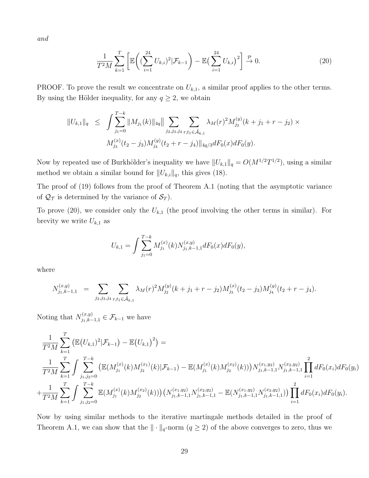and

$$
\frac{1}{T^2M} \sum_{k=1}^T \left[ \mathbb{E} \left( (\sum_{i=1}^{24} U_{k,i})^2 | \mathcal{F}_{k-1} \right) - \mathbb{E} \left( \sum_{i=1}^{24} U_{k,i} \right)^2 \right] \stackrel{\mathcal{P}}{\to} 0. \tag{20}
$$

PROOF. To prove the result we concentrate on  $U_{k,1}$ , a similar proof applies to the other terms. By using the Hölder inequality, for any  $q \ge 2$ , we obtain

$$
||U_{k,1}||_q \leq \int \sum_{j_1=0}^{T-k} ||M_{j_1}(k)||_{4q}|| \sum_{j_2,j_3,j_4} \sum_{r,t_1 \in \tilde{\mathcal{A}}_{k,1}} \lambda_M(r)^2 M_{j_2}^{(y)}(k+j_1+r-j_2) \times M_{j_3}^{(x)}(t_2-j_3) M_{j_4}^{(y)}(t_2+r-j_4) ||_{4q/3} dF_0(x) dF_0(y).
$$

Now by repeated use of Burkhölder's inequality we have  $||U_{k,1}||_q = O(M^{1/2}T^{1/2})$ , using a similar method we obtain a similar bound for  $||U_{k,i}||_q$ , this gives (18).

The proof of (19) follows from the proof of Theorem A.1 (noting that the asymptotic variance of  $\mathcal{Q}_{\mathcal{T}}$  is determined by the variance of  $\mathcal{S}_{T}$ ).

To prove (20), we consider only the  $U_{k,1}$  (the proof involving the other terms in similar). For brevity we write  $U_{k,1}$  as

$$
U_{k,1} = \int \sum_{j_1=0}^{T-k} M_{j_1}^{(x)}(k) N_{j_1,k-1,1}^{(x,y)} dF_0(x) dF_0(y),
$$

where

$$
N_{j_1,k-1,1}^{(x,y)} = \sum_{j_2,j_3,j_4} \sum_{r,t_1 \in \tilde{\mathcal{A}}_{k,1}} \lambda_M(r)^2 M_{j_2}^{(y)}(k+j_1+r-j_2) M_{j_3}^{(x)}(t_2-j_3) M_{j_4}^{(y)}(t_2+r-j_4).
$$

Noting that  $N_{j_1,k-1,1}^{(x,y)} \in \mathcal{F}_{k-1}$  we have

$$
\frac{1}{T^2M} \sum_{k=1}^T \left( \mathbb{E} (U_{k,1})^2 | \mathcal{F}_{k-1} \right) - \mathbb{E} (U_{k,1})^2 \right) =
$$
\n
$$
\frac{1}{T^2M} \sum_{k=1}^T \int \sum_{j_1,j_2=0}^{T-k} \left( \mathbb{E} (M_{j_1}^{(x)}(k) M_{j_2}^{(x_1)}(k) | \mathcal{F}_{k-1}) - \mathbb{E} (M_{j_1}^{(x)}(k) M_{j_2}^{(x_2)}(k)) \right) N_{j_1,k-1,1}^{(x_1,y_2)} N_{j_1,k-1,1}^{(x_2,y_2)} \prod_{i=1}^2 dF_0(x_i) dF_0(y_i)
$$
\n
$$
+ \frac{1}{T^2M} \sum_{k=1}^T \int \sum_{j_1,j_2=0}^{T-k} \mathbb{E} (M_{j_1}^{(x)}(k) M_{j_2}^{(x_2)}(k)) \left( N_{j_1,k-1,1}^{(x_1,y_2)} N_{j_1,k-1,1}^{(x_2,y_2)} - \mathbb{E} (N_{j_1,k-1,1}^{(x_1,y_2)} N_{j_1,k-1,1}^{(x_2,y_2)} \right) \prod_{i=1}^2 dF_0(x_i) dF_0(y_i).
$$

Now by using similar methods to the iterative martingale methods detailed in the proof of Theorem A.1, we can show that the  $\|\cdot\|_q$ -norm  $(q \geq 2)$  of the above converges to zero, thus we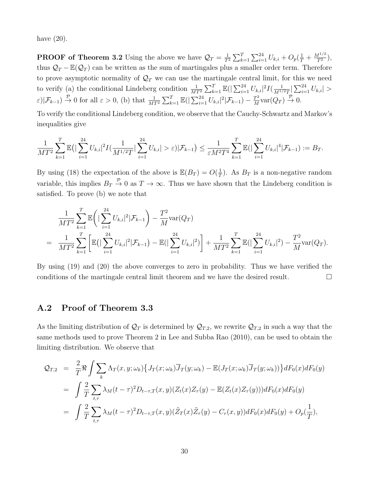have  $(20)$ .

**PROOF of Theorem 3.2** Using the above we have  $\mathcal{Q}_T = \frac{1}{T}$  $\frac{1}{T^2} \sum_{k=1}^T \sum_{i=1}^{24} U_{k,i} + O_p(\frac{1}{T} + \frac{M^{1/2}}{T^2}),$ thus  $Q_T - \mathbb{E}(Q_T)$  can be written as the sum of martingales plus a smaller order term. Therefore to prove asymptotic normality of  $\mathcal{Q}_T$  we can use the martingale central limit, for this we need to verify (a) the conditional Lindeberg condition  $\frac{1}{MT^2} \sum_{k=1}^T \mathbb{E}(|\sum_{i=1}^{24} U_{k,i}|^2 I(\frac{1}{M^{1/2}})$  $\frac{1}{M^{1/2}T}|\sum_{i=1}^{24}U_{k,i}|>$  $\varepsilon$ )| $\mathcal{F}_{k-1}$   $\stackrel{\mathcal{P}}{\rightarrow}$  0 for all  $\varepsilon > 0$ , (b) that  $\frac{1}{MT^2} \sum_{k=1}^T \mathbb{E}(|\sum_{i=1}^{24} U_{k,i}|^2 | \mathcal{F}_{k-1}) - \frac{T^2}{M}$  $\frac{T^2}{M} \text{var}(Q_T) \stackrel{\mathcal{P}}{\rightarrow} 0.$ 

To verify the conditional Lindeberg condition, we observe that the Cauchy-Schwartz and Markov's inequalities give

$$
\frac{1}{MT^2}\sum_{k=1}^T \mathbb{E}\big(\big|\sum_{i=1}^{24} U_{k,i}\big|^2 I(\frac{1}{M^{1/2}T}|\sum_{i=1}^{24} U_{k,i}| > \varepsilon)|\mathcal{F}_{k-1}\big) \leq \frac{1}{\varepsilon M^2T^4}\sum_{k=1}^T \mathbb{E}\big(\big|\sum_{i=1}^{24} U_{k,i}\big|^4|\mathcal{F}_{k-1}\big) := B_T.
$$

By using (18) the expectation of the above is  $\mathbb{E}(B_T) = O(\frac{1}{T})$  $(\frac{1}{T})$ . As  $B_T$  is a non-negative random variable, this implies  $B_T \stackrel{\mathcal{P}}{\rightarrow} 0$  as  $T \rightarrow \infty$ . Thus we have shown that the Lindeberg condition is satisfied. To prove (b) we note that

$$
\frac{1}{MT^2} \sum_{k=1}^T \mathbb{E}\left(|\sum_{i=1}^{24} U_{k,i}|^2 | \mathcal{F}_{k-1}\right) - \frac{T^2}{M} \text{var}(Q_T) \n= \frac{1}{MT^2} \sum_{k=1}^T \left[\mathbb{E}\left(|\sum_{i=1}^{24} U_{k,i}|^2 | \mathcal{F}_{k-1}\right) - \mathbb{E}(|\sum_{i=1}^{24} U_{k,i}|^2)\right] + \frac{1}{MT^2} \sum_{k=1}^T \mathbb{E}(|\sum_{i=1}^{24} U_{k,i}|^2) - \frac{T^2}{M} \text{var}(Q_T).
$$

By using (19) and (20) the above converges to zero in probability. Thus we have verified the conditions of the martingale central limit theorem and we have the desired result.

#### A.2 Proof of Theorem 3.3

As the limiting distribution of  $\mathcal{Q}_T$  is determined by  $\mathcal{Q}_{T,2}$ , we rewrite  $\mathcal{Q}_{T,2}$  in such a way that the same methods used to prove Theorem 2 in Lee and Subba Rao (2010), can be used to obtain the limiting distribution. We observe that

$$
\mathcal{Q}_{T,2} = \frac{2}{T} \Re \int \sum_{k} \Lambda_T(x, y; \omega_k) \{ J_T(x; \omega_k) \overline{J}_T(y; \omega_k) - \mathbb{E}(J_T(x; \omega_k) \overline{J}_T(y; \omega_k)) \} dF_0(x) dF_0(y)
$$
  
\n
$$
= \int \frac{2}{T} \sum_{t, \tau} \lambda_M(t - \tau)^2 D_{t-\tau,T}(x, y) (Z_t(x) Z_\tau(y) - \mathbb{E}(Z_t(x) Z_\tau(y))) dF_0(x) dF_0(y)
$$
  
\n
$$
= \int \frac{2}{T} \sum_{t, \tau} \lambda_M(t - \tau)^2 D_{t-\tau,T}(x, y) (\tilde{Z}_T(x) \tilde{Z}_\tau(y) - C_r(x, y)) dF_0(x) dF_0(y) + O_p(\frac{1}{T}),
$$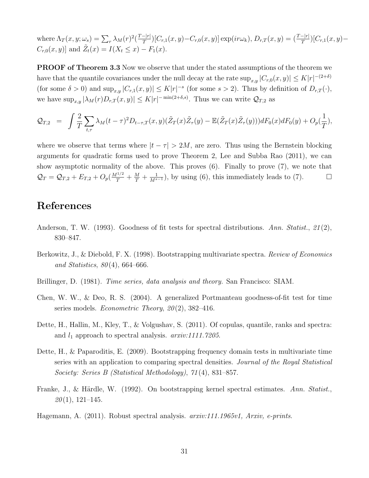where  $\Lambda_T(x,y;\omega_s)=\sum_r \lambda_M(r)^2(\frac{T-|r|}{T}$  $\frac{(-|r|)}{T}$ ] $[C_{r,1}(x,y)-C_{r,0}(x,y)]$  exp $(i r\omega_k)$ ,  $D_{r,T}(x,y) = \frac{(T-|r|)}{T}$ ] $[C_{r,1}(x,y)-C_{r,0}(x,y)]$  $C_{r,0}(x, y)$  and  $\tilde{Z}_t(x) = I(X_t \le x) - F_1(x)$ .

**PROOF of Theorem 3.3** Now we observe that under the stated assumptions of the theorem we have that the quantile covariances under the null decay at the rate  $\sup_{x,y} |C_{r,0}(x,y)| \le K |r|^{-(2+\delta)}$ (for some  $\delta > 0$ ) and  $\sup_{x,y} |C_{r,1}(x,y)| \leq K |r|^{-s}$  (for some  $s > 2$ ). Thus by definition of  $D_{r,T}(\cdot)$ , we have  $\sup_{x,y} |\lambda_M(r)D_{r,T}(x,y)| \le K |r|^{-\min(2+\delta,s)}$ . Thus we can write  $\mathcal{Q}_{T,2}$  as

$$
\mathcal{Q}_{T,2} = \int \frac{2}{T} \sum_{t,\tau} \lambda_M (t-\tau)^2 D_{t-\tau,T}(x,y) (\tilde{Z}_T(x)\tilde{Z}_\tau(y) - \mathbb{E}(\tilde{Z}_T(x)\tilde{Z}_\tau(y))) dF_0(x) dF_0(y) + O_p(\frac{1}{T}),
$$

where we observe that terms where  $|t - \tau| > 2M$ , are zero. Thus using the Bernstein blocking arguments for quadratic forms used to prove Theorem 2, Lee and Subba Rao (2011), we can show asymptotic normality of the above. This proves (6). Finally to prove (7), we note that  $\mathcal{Q}_T = \mathcal{Q}_{T,2} + E_{T,2} + O_p(\frac{M^{1/2}}{T} + \frac{M}{T} + \frac{1}{M^{s-1}})$ , by using (6), this immediately leads to (7).

### References

- Anderson, T. W. (1993). Goodness of fit tests for spectral distributions. Ann. Statist., 21(2), 830–847.
- Berkowitz, J., & Diebold, F. X. (1998). Bootstrapping multivariate spectra. *Review of Economics* and Statistics,  $80(4)$ , 664–666.
- Brillinger, D. (1981). *Time series, data analysis and theory*. San Francisco: SIAM.
- Chen, W. W., & Deo, R. S. (2004). A generalized Portmanteau goodness-of-fit test for time series models. *Econometric Theory*,  $20(2)$ , 382–416.
- Dette, H., Hallin, M., Kley, T., & Volgushav, S. (2011). Of copulas, quantile, ranks and spectra: and  $l_1$  approach to spectral analysis.  $arxiv:1111.7205$ .
- Dette, H., & Paparoditis, E. (2009). Bootstrapping frequency domain tests in multivariate time series with an application to comparing spectral densities. Journal of the Royal Statistical Society: Series B (Statistical Methodology), 71 (4), 831–857.
- Franke, J., & Härdle, W. (1992). On bootstrapping kernel spectral estimates. Ann. Statist.,  $20(1)$ , 121–145.
- Hagemann, A. (2011). Robust spectral analysis. *arxiv:111.1965v1*, *Arxiv*, *e-prints*.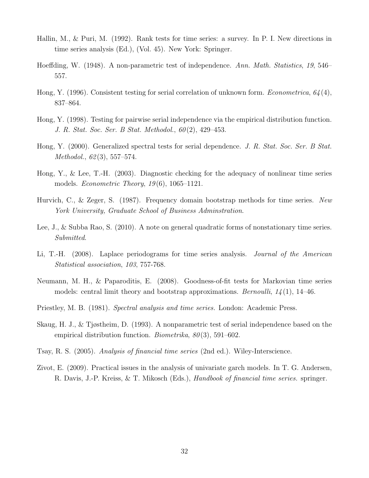- Hallin, M., & Puri, M. (1992). Rank tests for time series: a survey. In P. I. New directions in time series analysis (Ed.), (Vol. 45). New York: Springer.
- Hoeffding, W. (1948). A non-parametric test of independence. Ann. Math. Statistics, 19, 546– 557.
- Hong, Y. (1996). Consistent testing for serial correlation of unknown form. *Econometrica*,  $64(4)$ , 837–864.
- Hong, Y. (1998). Testing for pairwise serial independence via the empirical distribution function. J. R. Stat. Soc. Ser. B Stat. Methodol., 60 (2), 429–453.
- Hong, Y. (2000). Generalized spectral tests for serial dependence. J. R. Stat. Soc. Ser. B Stat. Methodol., 62(3), 557–574.
- Hong, Y., & Lee, T.-H. (2003). Diagnostic checking for the adequacy of nonlinear time series models. *Econometric Theory*,  $19(6)$ ,  $1065-1121$ .
- Hurvich, C., & Zeger, S. (1987). Frequency domain bootstrap methods for time series. New York University, Graduate School of Business Adminstration.
- Lee, J., & Subba Rao, S. (2010). A note on general quadratic forms of nonstationary time series. Submitted.
- Li, T.-H. (2008). Laplace periodograms for time series analysis. Journal of the American Statistical association, 103, 757-768.
- Neumann, M. H., & Paparoditis, E. (2008). Goodness-of-fit tests for Markovian time series models: central limit theory and bootstrap approximations. *Bernoulli*,  $14(1)$ , 14–46.
- Priestley, M. B. (1981). Spectral analysis and time series. London: Academic Press.
- Skaug, H. J., & Tjøstheim, D. (1993). A nonparametric test of serial independence based on the empirical distribution function. *Biometrika*,  $80(3)$ , 591–602.
- Tsay, R. S. (2005). Analysis of financial time series (2nd ed.). Wiley-Interscience.
- Zivot, E. (2009). Practical issues in the analysis of univariate garch models. In T. G. Andersen, R. Davis, J.-P. Kreiss, & T. Mikosch (Eds.), Handbook of financial time series. springer.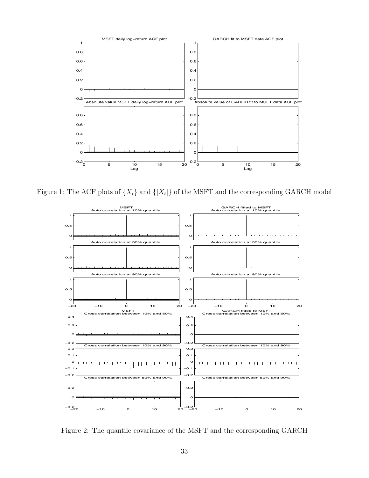

Figure 1: The ACF plots of  $\{X_t\}$  and  $\{|X_t|\}$  of the MSFT and the corresponding GARCH model



Figure 2: The quantile covariance of the MSFT and the corresponding GARCH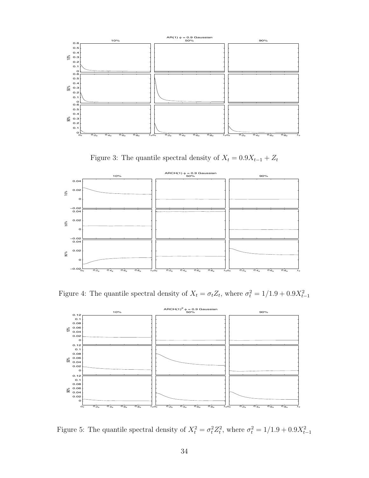

Figure 3: The quantile spectral density of  $X_t = 0.9X_{t-1} + Z_t$ 



Figure 4: The quantile spectral density of  $X_t = \sigma_t Z_t$ , where  $\sigma_t^2 = 1/1.9 + 0.9X_{t-1}^2$ 



Figure 5: The quantile spectral density of  $X_t^2 = \sigma_t^2 Z_t^2$ , where  $\sigma_t^2 = 1/1.9 + 0.9X_{t-1}^2$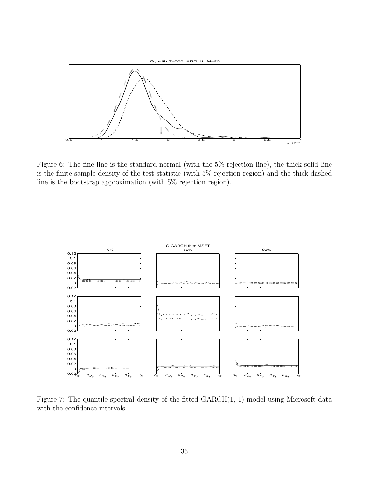

Figure 6: The fine line is the standard normal (with the 5% rejection line), the thick solid line is the finite sample density of the test statistic (with 5% rejection region) and the thick dashed line is the bootstrap approximation (with 5% rejection region).



Figure 7: The quantile spectral density of the fitted  $GARCH(1, 1)$  model using Microsoft data with the confidence intervals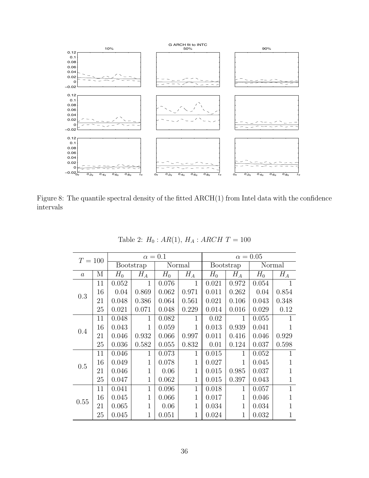

Figure 8: The quantile spectral density of the fitted ARCH(1) from Intel data with the confidence intervals

| $T=100$          |    |       |              | $\alpha=0.1$ |              | $\alpha = 0.05$ |                  |       |              |  |
|------------------|----|-------|--------------|--------------|--------------|-----------------|------------------|-------|--------------|--|
|                  |    |       | Bootstrap    |              | Normal       |                 | <b>Bootstrap</b> |       | Normal       |  |
| $\boldsymbol{a}$ | M  | $H_0$ | $H_A$        | $H_0$        | $H_A$        | $H_0$           | $H_A$            | $H_0$ | $H_A$        |  |
|                  | 11 | 0.052 | $\mathbf{1}$ | 0.076        | $\mathbf{1}$ | 0.021           | 0.972            | 0.054 |              |  |
| 0.3              | 16 | 0.04  | 0.869        | 0.062        | 0.971        | 0.011           | 0.262            | 0.04  | 0.854        |  |
|                  | 21 | 0.048 | 0.386        | 0.064        | 0.561        | 0.021           | 0.106            | 0.043 | 0.348        |  |
|                  | 25 | 0.021 | 0.071        | 0.048        | 0.229        | 0.014           | 0.016            | 0.029 | 0.12         |  |
|                  | 11 | 0.048 | $\mathbf{1}$ | 0.082        | 1            | 0.02            | $\mathbf{1}$     | 0.055 | 1            |  |
| 0.4              | 16 | 0.043 | $\mathbf{1}$ | 0.059        | 1            | 0.013           | 0.939            | 0.041 |              |  |
|                  | 21 | 0.046 | 0.932        | 0.066        | 0.997        | 0.011           | 0.416            | 0.046 | 0.929        |  |
|                  | 25 | 0.036 | 0.582        | 0.055        | 0.832        | 0.01            | 0.124            | 0.037 | 0.598        |  |
|                  | 11 | 0.046 | 1            | 0.073        | $\mathbf{1}$ | 0.015           | 1                | 0.052 | 1            |  |
| 0.5              | 16 | 0.049 | $\mathbf{1}$ | 0.078        | 1            | 0.027           | 1                | 0.045 |              |  |
|                  | 21 | 0.046 | $\mathbf{1}$ | 0.06         | 1            | 0.015           | 0.985            | 0.037 |              |  |
|                  | 25 | 0.047 | $\mathbf{1}$ | 0.062        | $\mathbf{1}$ | 0.015           | 0.397            | 0.043 | 1            |  |
|                  | 11 | 0.041 | $\mathbf{1}$ | 0.096        | $\mathbf{1}$ | 0.018           | 1                | 0.057 | $\mathbf{1}$ |  |
| 0.55             | 16 | 0.045 | $\mathbf{1}$ | 0.066        | 1            | 0.017           | $\mathbf 1$      | 0.046 | 1            |  |
|                  | 21 | 0.065 | $\mathbf{1}$ | 0.06         | 1            | 0.034           | 1                | 0.034 | 1            |  |
|                  | 25 | 0.045 | $\mathbf 1$  | 0.051        | 1            | 0.024           | 1                | 0.032 | 1            |  |

Table 2:  $H_0$  :  $AR(1),\, H_A$  :  $ARCH$   $T=100$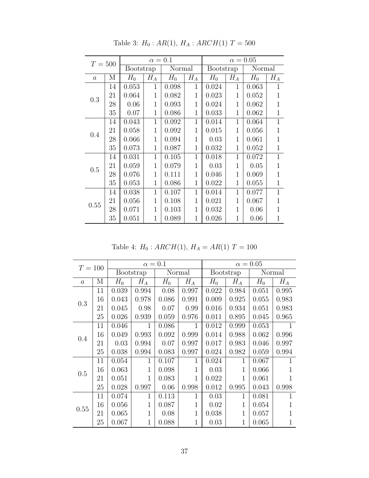| $T = 500$        |    |           | $\alpha=0.1$   |        |                | $\alpha = 0.05$ |              |        |              |
|------------------|----|-----------|----------------|--------|----------------|-----------------|--------------|--------|--------------|
|                  |    | Bootstrap |                | Normal |                | Bootstrap       |              | Normal |              |
| $\boldsymbol{a}$ | М  | $H_0$     | $H_A$          | $H_0$  | $H_A$          | $H_0$           | $H_A$        | $H_0$  | $H_A$        |
|                  | 14 | 0.053     | $\mathbf{1}$   | 0.098  | $\mathbf{1}$   | 0.024           | $\mathbf{1}$ | 0.063  | $\mathbf{1}$ |
| 0.3              | 21 | 0.064     | 1              | 0.082  | 1              | 0.023           | 1            | 0.052  | $\mathbf 1$  |
|                  | 28 | 0.06      | 1              | 0.093  | 1              | 0.024           | 1            | 0.062  | 1            |
|                  | 35 | 0.07      | $\mathbf{1}$   | 0.086  | 1              | 0.033           | 1            | 0.062  | $\mathbf 1$  |
|                  | 14 | 0.043     | 1              | 0.092  | 1              | 0.014           | $\mathbf 1$  | 0.064  | $\mathbf{1}$ |
| 0.4              | 21 | 0.058     | 1              | 0.092  | 1              | 0.015           | $\mathbf 1$  | 0.056  | $\mathbf 1$  |
|                  | 28 | 0.066     | $\mathbf 1$    | 0.094  | 1              | 0.03            | $\mathbf 1$  | 0.061  | $\mathbf 1$  |
|                  | 35 | 0.073     | $\mathbf{1}$   | 0.087  | 1              | 0.032           | $\mathbf 1$  | 0.052  | $\mathbf{1}$ |
|                  | 14 | 0.031     | 1              | 0.105  | $\overline{1}$ | 0.018           | 1            | 0.072  | $\mathbf{1}$ |
|                  | 21 | 0.059     | 1              | 0.079  | 1              | 0.03            | 1            | 0.05   | 1            |
| 0.5              | 28 | 0.076     | 1              | 0.111  | 1              | 0.046           | 1            | 0.069  | 1            |
|                  | 35 | 0.053     | $\mathbf 1$    | 0.086  | 1              | 0.022           | $\mathbf{1}$ | 0.055  | $\mathbf 1$  |
| 0.55             | 14 | 0.038     | $\mathbf{1}$   | 0.107  | $\mathbf{1}$   | 0.014           | $\mathbf 1$  | 0.077  | $\mathbf{1}$ |
|                  | 21 | 0.056     | 1              | 0.108  | 1              | 0.021           | $\mathbf{1}$ | 0.067  | $\mathbf 1$  |
|                  | 28 | 0.071     | $\overline{1}$ | 0.103  | 1              | 0.032           | 1            | 0.06   | $\mathbf 1$  |
|                  | 35 | 0.051     | 1              | 0.089  | 1              | 0.026           | 1            | 0.06   | $\mathbf 1$  |

Table 3:  $H_0:AR(1),\, H_A: ARCH(1)\ T=500$ 

Table 4:  $H_0$ :  $ARCH(1)$ ,  $H_A = AR(1)$   $T = 100$ 

| $T = 100$ |    |       |                   | $\alpha = 0.1$ |        | $\alpha = 0.05$ |              |       |                   |  |
|-----------|----|-------|-------------------|----------------|--------|-----------------|--------------|-------|-------------------|--|
|           |    |       | Bootstrap         |                | Normal |                 | Bootstrap    |       | Normal            |  |
| $\alpha$  | М  | $H_0$ | $\mathcal{H}_{A}$ | $H_0$          | $H_A$  | $H_0$           | $H_A$        | $H_0$ | $\mathcal{H}_{A}$ |  |
|           | 11 | 0.039 | 0.994             | 0.08           | 0.997  | 0.022           | 0.984        | 0.051 | 0.995             |  |
| 0.3       | 16 | 0.043 | 0.978             | 0.086          | 0.991  | 0.009           | 0.925        | 0.055 | 0.983             |  |
|           | 21 | 0.045 | 0.98              | 0.07           | 0.99   | 0.016           | 0.934        | 0.051 | 0.983             |  |
|           | 25 | 0.026 | 0.939             | 0.059          | 0.976  | 0.011           | 0.895        | 0.045 | 0.965             |  |
|           | 11 | 0.046 | $\mathbf{1}$      | 0.086          | 1      | 0.012           | 0.999        | 0.053 | 1                 |  |
|           | 16 | 0.049 | 0.993             | 0.092          | 0.999  | 0.014           | 0.988        | 0.062 | 0.996             |  |
| 0.4       | 21 | 0.03  | 0.994             | 0.07           | 0.997  | 0.017           | 0.983        | 0.046 | 0.997             |  |
|           | 25 | 0.038 | 0.994             | 0.083          | 0.997  | 0.024           | 0.982        | 0.059 | 0.994             |  |
|           | 11 | 0.054 | 1                 | 0.107          | 1      | 0.024           | 1            | 0.067 |                   |  |
|           | 16 | 0.063 | 1                 | 0.098          | 1      | 0.03            | $\mathbf{1}$ | 0.066 |                   |  |
| 0.5       | 21 | 0.051 | $\mathbf{1}$      | 0.083          | 1      | 0.022           | 1            | 0.061 | 1                 |  |
|           | 25 | 0.028 | 0.997             | 0.06           | 0.998  | 0.012           | 0.995        | 0.043 | 0.998             |  |
|           | 11 | 0.074 | 1                 | 0.113          | 1      | 0.03            | 1            | 0.081 | 1                 |  |
| 0.55      | 16 | 0.056 | 1                 | 0.087          | 1      | 0.02            | $\mathbf{1}$ | 0.054 | 1                 |  |
|           | 21 | 0.065 | $\mathbf{1}$      | 0.08           | 1      | 0.038           | $\mathbf{1}$ | 0.057 | 1                 |  |
|           | 25 | 0.067 | 1                 | 0.088          |        | 0.03            | 1            | 0.065 | 1                 |  |